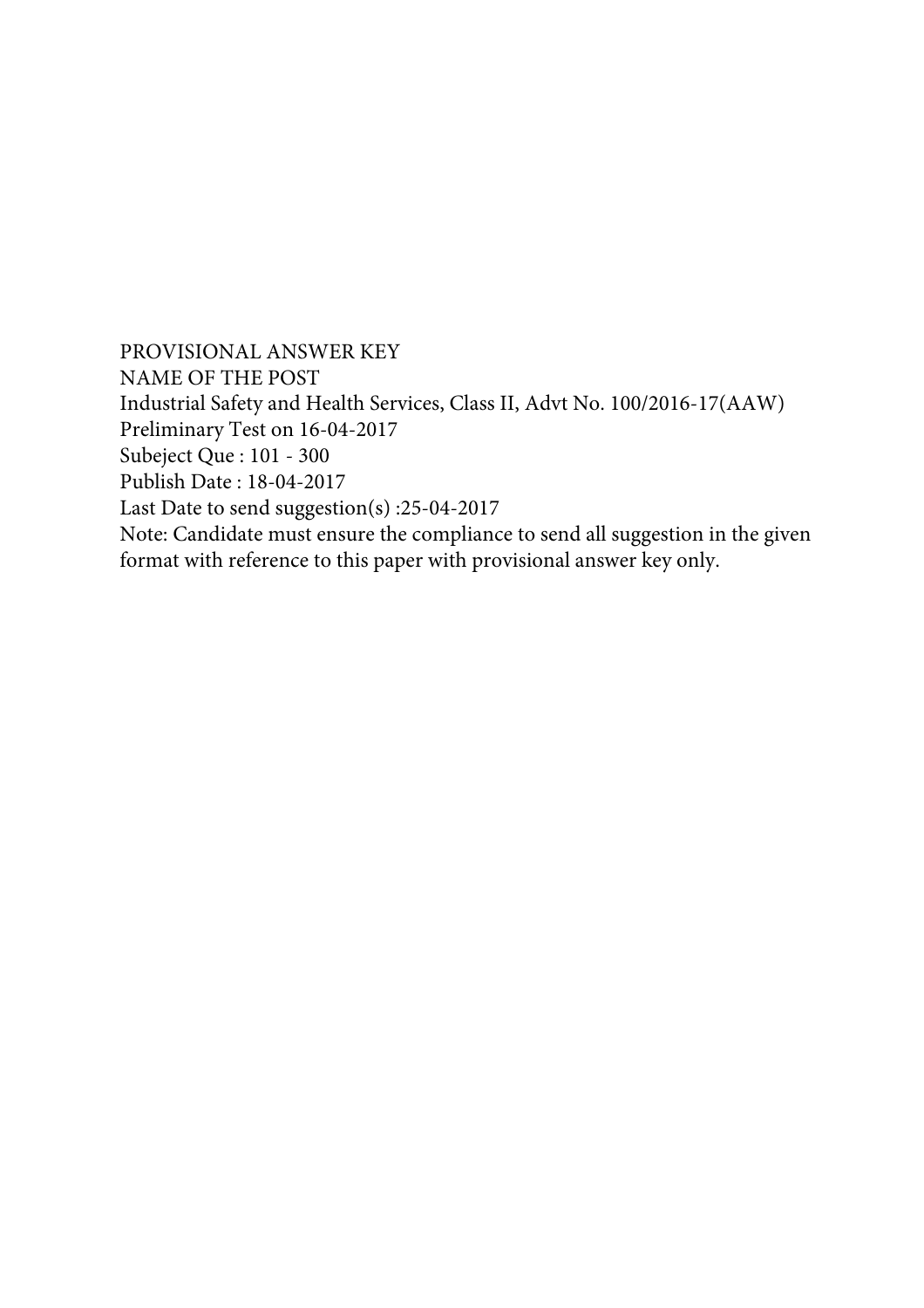PROVISIONAL ANSWER KEY NAME OF THE POST Industrial Safety and Health Services, Class II, Advt No. 100/2016-17(AAW) Preliminary Test on 16-04-2017 Subeject Que : 101 - 300 Publish Date : 18-04-2017 Last Date to send suggestion(s) :25-04-2017 Note: Candidate must ensure the compliance to send all suggestion in the given format with reference to this paper with provisional answer key only.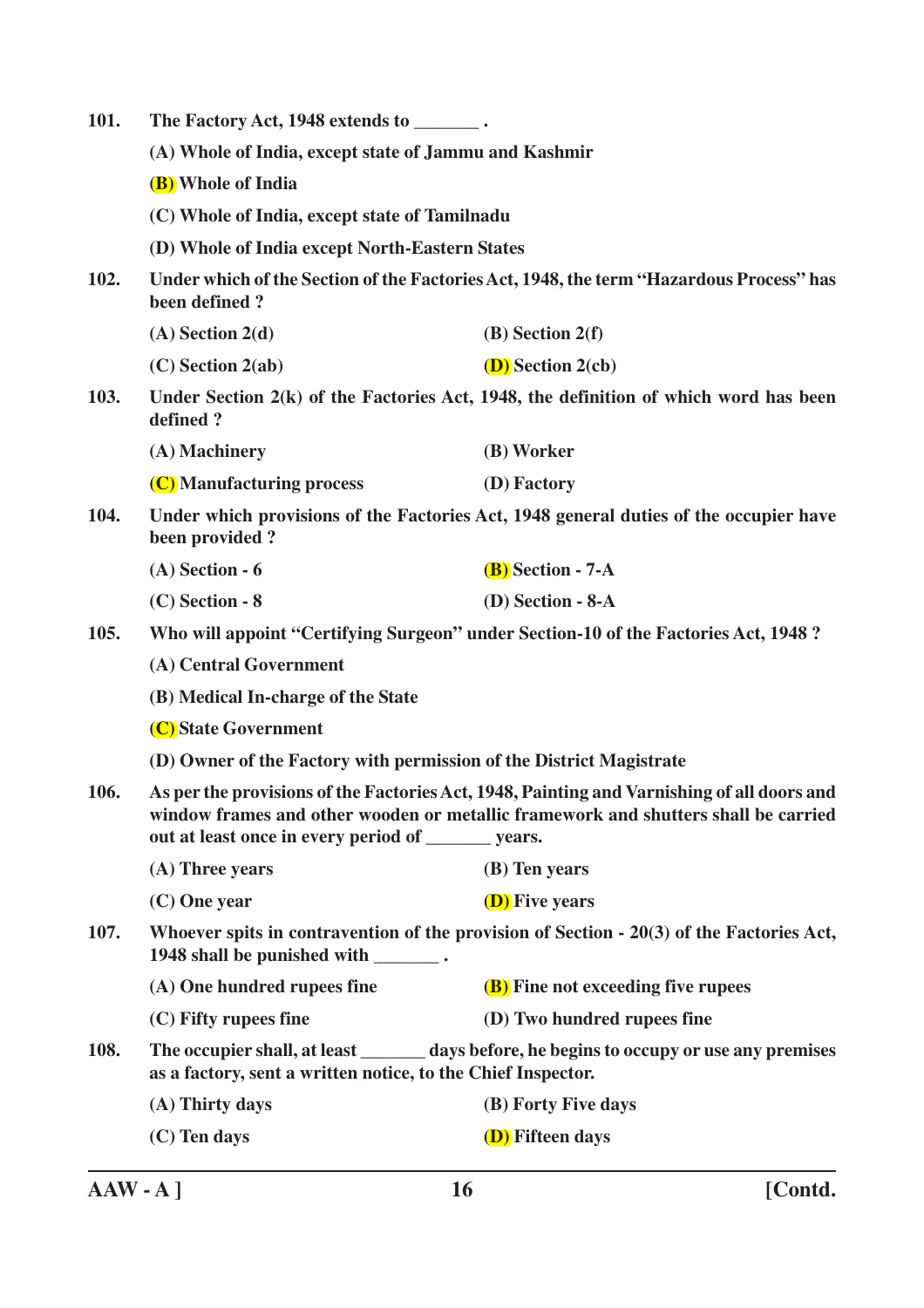| 101. | The Factory Act, 1948 extends to ________.                                                                                                                                                                                               |                                                                                           |  |
|------|------------------------------------------------------------------------------------------------------------------------------------------------------------------------------------------------------------------------------------------|-------------------------------------------------------------------------------------------|--|
|      | (A) Whole of India, except state of Jammu and Kashmir                                                                                                                                                                                    |                                                                                           |  |
|      | (B) Whole of India                                                                                                                                                                                                                       |                                                                                           |  |
|      | (C) Whole of India, except state of Tamilnadu                                                                                                                                                                                            |                                                                                           |  |
|      | (D) Whole of India except North-Eastern States                                                                                                                                                                                           |                                                                                           |  |
| 102. | Under which of the Section of the Factories Act, 1948, the term "Hazardous Process" has<br>been defined?                                                                                                                                 |                                                                                           |  |
|      | $(A)$ Section 2(d)                                                                                                                                                                                                                       | $(B)$ Section 2(f)                                                                        |  |
|      | $(C)$ Section 2(ab)                                                                                                                                                                                                                      | <b>(D)</b> Section 2(cb)                                                                  |  |
| 103. | defined?                                                                                                                                                                                                                                 | Under Section 2(k) of the Factories Act, 1948, the definition of which word has been      |  |
|      | (A) Machinery                                                                                                                                                                                                                            | (B) Worker                                                                                |  |
|      | (C) Manufacturing process                                                                                                                                                                                                                | (D) Factory                                                                               |  |
| 104. | Under which provisions of the Factories Act, 1948 general duties of the occupier have<br>been provided?                                                                                                                                  |                                                                                           |  |
|      | $(A)$ Section - 6                                                                                                                                                                                                                        | $(B)$ Section - 7-A                                                                       |  |
|      | $(C)$ Section - 8                                                                                                                                                                                                                        | $(D)$ Section - 8-A                                                                       |  |
| 105. |                                                                                                                                                                                                                                          | Who will appoint "Certifying Surgeon" under Section-10 of the Factories Act, 1948?        |  |
|      | (A) Central Government                                                                                                                                                                                                                   |                                                                                           |  |
|      | (B) Medical In-charge of the State                                                                                                                                                                                                       |                                                                                           |  |
|      | (C) State Government                                                                                                                                                                                                                     |                                                                                           |  |
|      | (D) Owner of the Factory with permission of the District Magistrate                                                                                                                                                                      |                                                                                           |  |
| 106. | As per the provisions of the Factories Act, 1948, Painting and Varnishing of all doors and<br>window frames and other wooden or metallic framework and shutters shall be carried<br>out at least once in every period of ________ years. |                                                                                           |  |
|      | (A) Three years                                                                                                                                                                                                                          | (B) Ten years                                                                             |  |
|      | $(C)$ One year                                                                                                                                                                                                                           | <b>(D)</b> Five years                                                                     |  |
| 107. | 1948 shall be punished with ________.                                                                                                                                                                                                    | Whoever spits in contravention of the provision of Section $-20(3)$ of the Factories Act, |  |
|      | (A) One hundred rupees fine                                                                                                                                                                                                              | (B) Fine not exceeding five rupees                                                        |  |
|      | (C) Fifty rupees fine                                                                                                                                                                                                                    | (D) Two hundred rupees fine                                                               |  |
| 108. | as a factory, sent a written notice, to the Chief Inspector.                                                                                                                                                                             | The occupier shall, at least _______ days before, he begins to occupy or use any premises |  |
|      | (A) Thirty days                                                                                                                                                                                                                          | (B) Forty Five days                                                                       |  |
|      | (C) Ten days                                                                                                                                                                                                                             | <b>(D)</b> Fifteen days                                                                   |  |
|      |                                                                                                                                                                                                                                          |                                                                                           |  |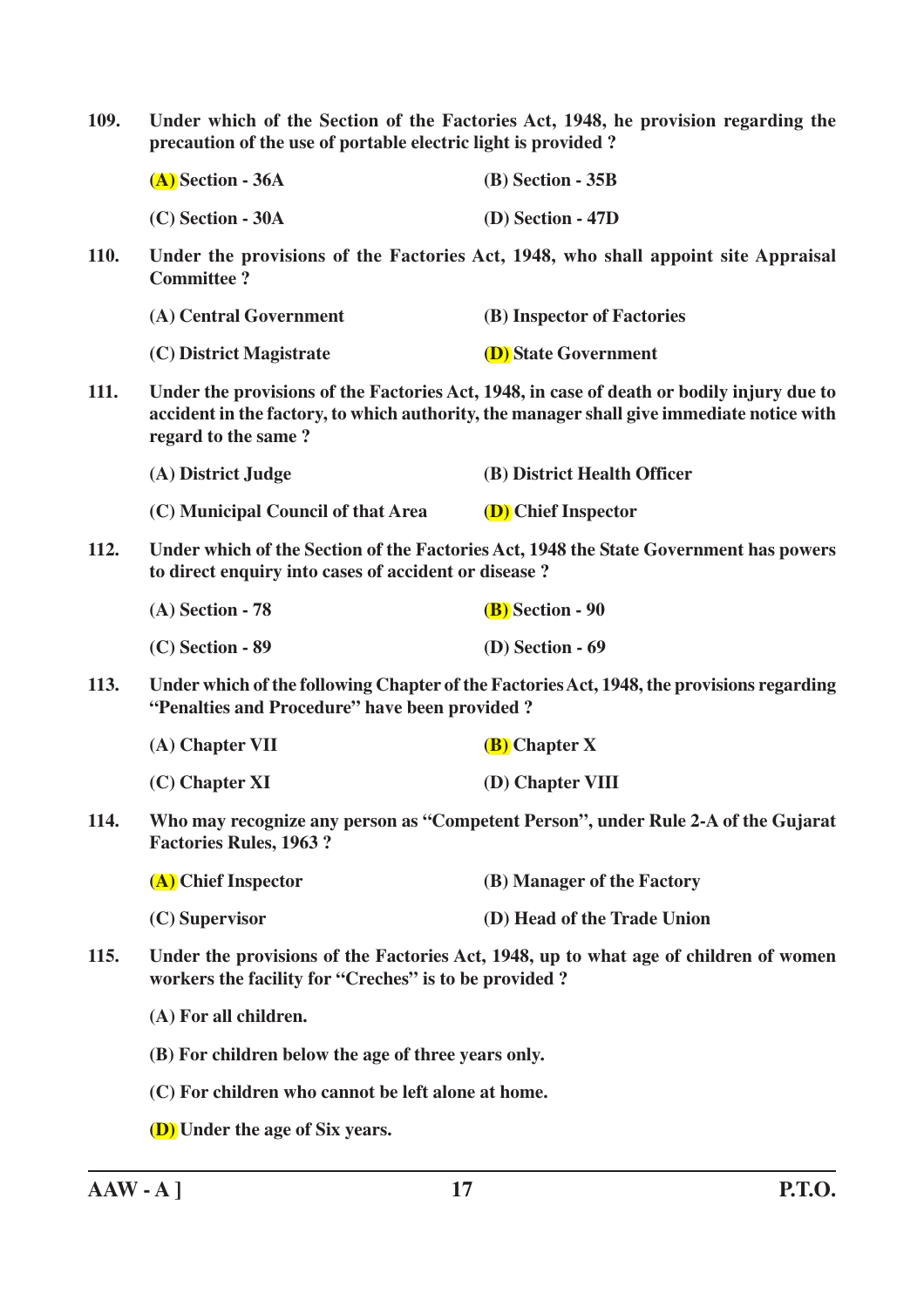| 109.        | Under which of the Section of the Factories Act, 1948, he provision regarding the<br>precaution of the use of portable electric light is provided?                                                            |                                                                                   |  |
|-------------|---------------------------------------------------------------------------------------------------------------------------------------------------------------------------------------------------------------|-----------------------------------------------------------------------------------|--|
|             | $(A)$ Section - 36A                                                                                                                                                                                           | $(B)$ Section - 35B                                                               |  |
|             | $(C)$ Section - 30A                                                                                                                                                                                           | $(D)$ Section - 47D                                                               |  |
| <b>110.</b> | <b>Committee?</b>                                                                                                                                                                                             | Under the provisions of the Factories Act, 1948, who shall appoint site Appraisal |  |
|             | (A) Central Government                                                                                                                                                                                        | (B) Inspector of Factories                                                        |  |
|             | (C) District Magistrate                                                                                                                                                                                       | <b>(D)</b> State Government                                                       |  |
| 111.        | Under the provisions of the Factories Act, 1948, in case of death or bodily injury due to<br>accident in the factory, to which authority, the manager shall give immediate notice with<br>regard to the same? |                                                                                   |  |
|             | (A) District Judge                                                                                                                                                                                            | (B) District Health Officer                                                       |  |
|             | (C) Municipal Council of that Area                                                                                                                                                                            | (D) Chief Inspector                                                               |  |
| <b>112.</b> | Under which of the Section of the Factories Act, 1948 the State Government has powers<br>to direct enquiry into cases of accident or disease?                                                                 |                                                                                   |  |
|             | $(A)$ Section - 78                                                                                                                                                                                            | <b>(B)</b> Section - 90                                                           |  |
|             | $(C)$ Section - 89                                                                                                                                                                                            | $(D)$ Section - 69                                                                |  |
| <b>113.</b> | Under which of the following Chapter of the Factories Act, 1948, the provisions regarding<br>"Penalties and Procedure" have been provided?                                                                    |                                                                                   |  |
|             | $(A)$ Chapter VII                                                                                                                                                                                             | (B) Chapter X                                                                     |  |
|             | $(C)$ Chapter XI                                                                                                                                                                                              | (D) Chapter VIII                                                                  |  |
| 114.        | Who may recognize any person as "Competent Person", under Rule 2-A of the Gujarat<br><b>Factories Rules, 1963 ?</b>                                                                                           |                                                                                   |  |
|             | (A) Chief Inspector                                                                                                                                                                                           | (B) Manager of the Factory                                                        |  |
|             | $(C)$ Supervisor                                                                                                                                                                                              | (D) Head of the Trade Union                                                       |  |
| <b>115.</b> | Under the provisions of the Factories Act, 1948, up to what age of children of women<br>workers the facility for "Creches" is to be provided?                                                                 |                                                                                   |  |
|             | (A) For all children.                                                                                                                                                                                         |                                                                                   |  |
|             | (B) For children below the age of three years only.                                                                                                                                                           |                                                                                   |  |
|             | (C) For children who cannot be left alone at home.                                                                                                                                                            |                                                                                   |  |
|             | <b>(D)</b> Under the age of Six years.                                                                                                                                                                        |                                                                                   |  |
|             |                                                                                                                                                                                                               |                                                                                   |  |

**AAW - A ] 17 P.T.O.**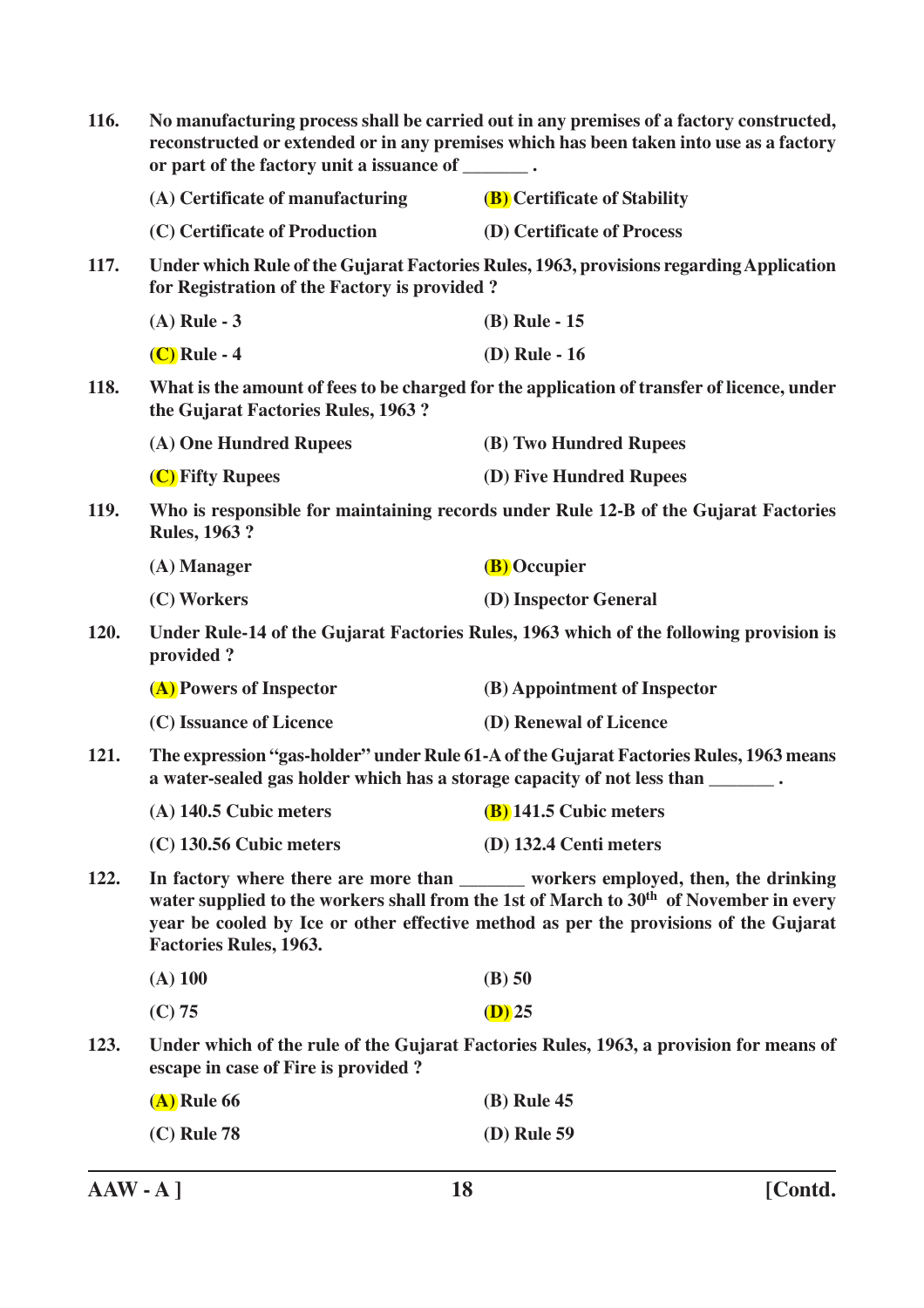| 116.                                                                                                                | No manufacturing process shall be carried out in any premises of a factory constructed,<br>reconstructed or extended or in any premises which has been taken into use as a factory<br>or part of the factory unit a issuance of _______.                                                                         |                                                                                        |  |
|---------------------------------------------------------------------------------------------------------------------|------------------------------------------------------------------------------------------------------------------------------------------------------------------------------------------------------------------------------------------------------------------------------------------------------------------|----------------------------------------------------------------------------------------|--|
|                                                                                                                     | (A) Certificate of manufacturing                                                                                                                                                                                                                                                                                 | <b>(B)</b> Certificate of Stability                                                    |  |
|                                                                                                                     | (C) Certificate of Production                                                                                                                                                                                                                                                                                    | (D) Certificate of Process                                                             |  |
| 117.                                                                                                                | Under which Rule of the Gujarat Factories Rules, 1963, provisions regarding Application<br>for Registration of the Factory is provided?                                                                                                                                                                          |                                                                                        |  |
|                                                                                                                     | $(A)$ Rule - 3                                                                                                                                                                                                                                                                                                   | (B) Rule - 15                                                                          |  |
|                                                                                                                     | $(C)$ Rule - 4                                                                                                                                                                                                                                                                                                   | (D) Rule - 16                                                                          |  |
| <b>118.</b>                                                                                                         | What is the amount of fees to be charged for the application of transfer of licence, under<br>the Gujarat Factories Rules, 1963?                                                                                                                                                                                 |                                                                                        |  |
|                                                                                                                     | (A) One Hundred Rupees                                                                                                                                                                                                                                                                                           | (B) Two Hundred Rupees                                                                 |  |
|                                                                                                                     | (C) Fifty Rupees                                                                                                                                                                                                                                                                                                 | (D) Five Hundred Rupees                                                                |  |
| Who is responsible for maintaining records under Rule 12-B of the Gujarat Factories<br>119.<br><b>Rules, 1963 ?</b> |                                                                                                                                                                                                                                                                                                                  |                                                                                        |  |
|                                                                                                                     | (A) Manager                                                                                                                                                                                                                                                                                                      | (B) Occupier                                                                           |  |
|                                                                                                                     | (C) Workers                                                                                                                                                                                                                                                                                                      | (D) Inspector General                                                                  |  |
| 120.                                                                                                                | provided?                                                                                                                                                                                                                                                                                                        | Under Rule-14 of the Gujarat Factories Rules, 1963 which of the following provision is |  |
|                                                                                                                     | (A) Powers of Inspector                                                                                                                                                                                                                                                                                          | (B) Appointment of Inspector                                                           |  |
|                                                                                                                     | (C) Issuance of Licence                                                                                                                                                                                                                                                                                          | (D) Renewal of Licence                                                                 |  |
| 121.                                                                                                                | The expression "gas-holder" under Rule 61-A of the Gujarat Factories Rules, 1963 means<br>a water-sealed gas holder which has a storage capacity of not less than _______.                                                                                                                                       |                                                                                        |  |
|                                                                                                                     | (A) $140.5$ Cubic meters (B) $141.5$ Cubic meters                                                                                                                                                                                                                                                                |                                                                                        |  |
|                                                                                                                     | $(C)$ 130.56 Cubic meters                                                                                                                                                                                                                                                                                        | (D) 132.4 Centi meters                                                                 |  |
| 122.                                                                                                                | In factory where there are more than _______ workers employed, then, the drinking<br>water supplied to the workers shall from the 1st of March to 30 <sup>th</sup> of November in every<br>year be cooled by Ice or other effective method as per the provisions of the Gujarat<br><b>Factories Rules, 1963.</b> |                                                                                        |  |
|                                                                                                                     | $(A)$ 100                                                                                                                                                                                                                                                                                                        | (B) 50                                                                                 |  |
|                                                                                                                     | (C) 75                                                                                                                                                                                                                                                                                                           | $(D)$ 25                                                                               |  |
| 123.                                                                                                                | escape in case of Fire is provided?                                                                                                                                                                                                                                                                              | Under which of the rule of the Gujarat Factories Rules, 1963, a provision for means of |  |
|                                                                                                                     | $(A)$ Rule 66                                                                                                                                                                                                                                                                                                    | (B) Rule 45                                                                            |  |
|                                                                                                                     | $(C)$ Rule 78                                                                                                                                                                                                                                                                                                    | (D) Rule 59                                                                            |  |
|                                                                                                                     |                                                                                                                                                                                                                                                                                                                  |                                                                                        |  |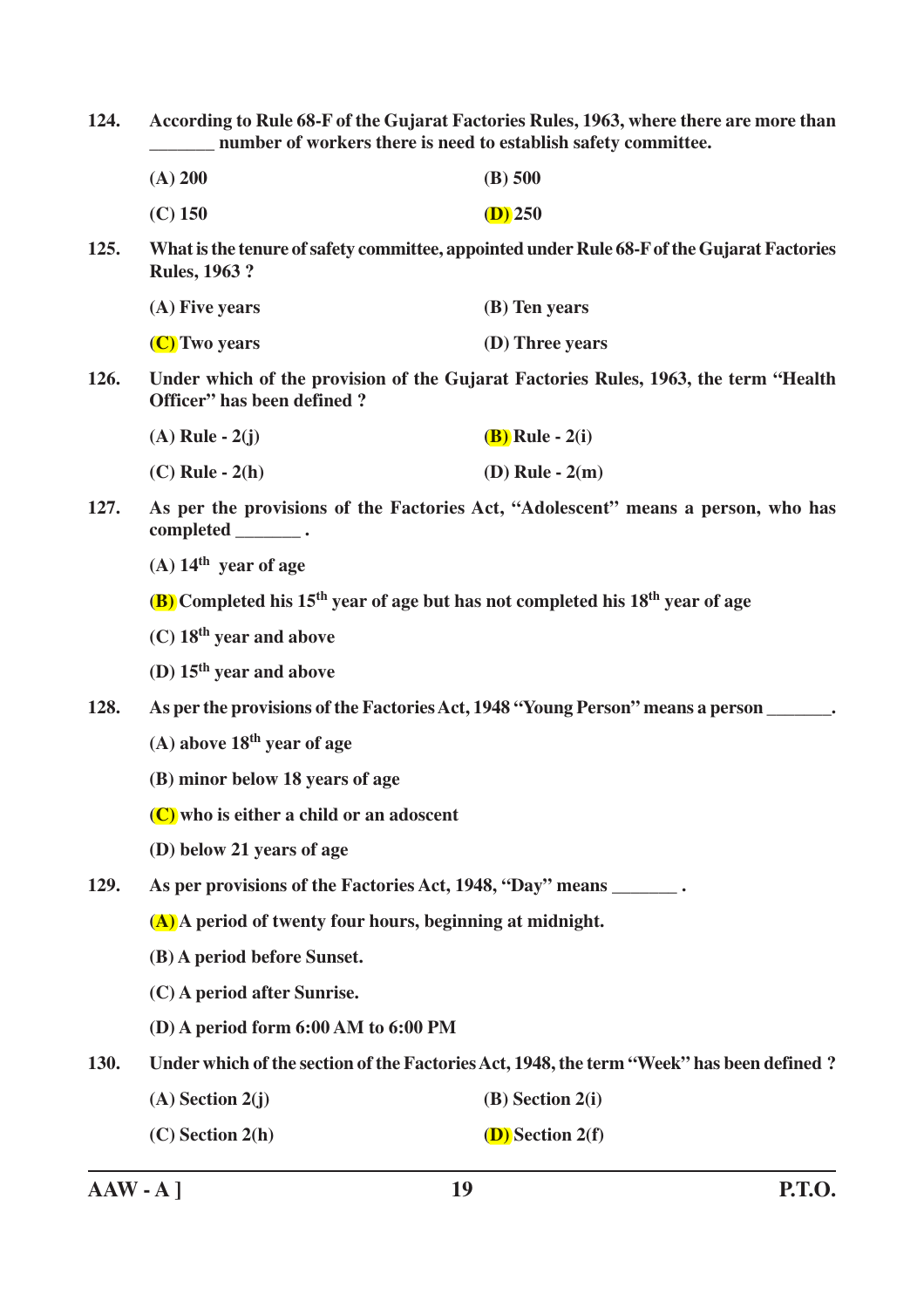**124. According to Rule 68-F of the Gujarat Factories Rules, 1963, where there are more than \_\_\_\_\_\_\_ number of workers there is need to establish safety committee.**

| (A) 200   | $(B)$ 500 |
|-----------|-----------|
| $(C)$ 150 | $(D)$ 250 |

**125. What is the tenure of safety committee, appointed under Rule 68-F of the Gujarat Factories Rules, 1963 ?**

| (A) Five years | (B) Ten years   |
|----------------|-----------------|
| (C) Two years  | (D) Three years |

**126. Under which of the provision of the Gujarat Factories Rules, 1963, the term "Health Officer" has been defined ?**

| $(A)$ Rule - $2(j)$ | <b>(B)</b> Rule - 2(i) |
|---------------------|------------------------|
| $(C)$ Rule - $2(h)$ | (D) Rule - $2(m)$      |

**127. As per the provisions of the Factories Act, "Adolescent" means a person, who has completed \_\_\_\_\_\_\_ .**

**(A) 14th year of age**

**(B) Completed his 15th year of age but has not completed his 18th year of age**

- **(C) 18th year and above**
- **(D) 15th year and above**
- **128. As per the provisions of the Factories Act, 1948 "Young Person" means a person \_\_\_\_\_\_\_.**
	- **(A) above 18th year of age**
	- **(B) minor below 18 years of age**
	- **(C) who is either a child or an adoscent**
	- **(D) below 21 years of age**
- **129. As per provisions of the Factories Act, 1948, "Day" means \_\_\_\_\_\_\_ .**

**(A) A period of twenty four hours, beginning at midnight.**

- **(B) A period before Sunset.**
- **(C) A period after Sunrise.**
- **(D) A period form 6:00 AM to 6:00 PM**

**130. Under which of the section of the Factories Act, 1948, the term "Week" has been defined ?**

- **(A) Section 2(j) (B) Section 2(i)**
- **(C) Section 2(h) (D) Section 2(f)**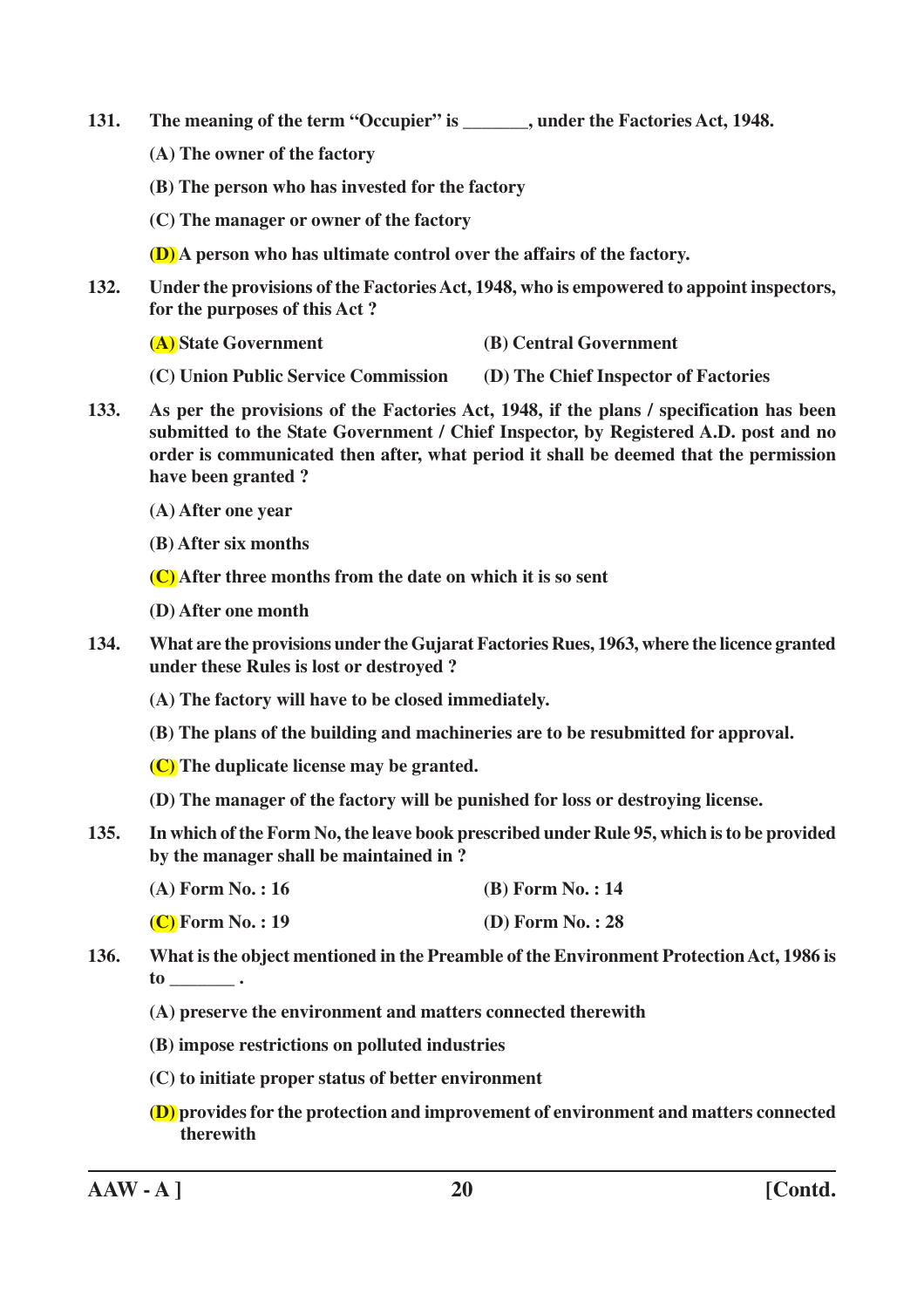- **131. The meaning of the term "Occupier" is \_\_\_\_\_\_\_, under the Factories Act, 1948.**
	- **(A) The owner of the factory**
	- **(B) The person who has invested for the factory**
	- **(C) The manager or owner of the factory**
	- **(D) A person who has ultimate control over the affairs of the factory.**
- **132. Under the provisions of the Factories Act, 1948, who is empowered to appoint inspectors, for the purposes of this Act ?**
	- **(A) State Government (B) Central Government**
	- **(C) Union Public Service Commission (D) The Chief Inspector of Factories**
- **133. As per the provisions of the Factories Act, 1948, if the plans / specification has been submitted to the State Government / Chief Inspector, by Registered A.D. post and no order is communicated then after, what period it shall be deemed that the permission have been granted ?**
	- **(A) After one year**
	- **(B) After six months**
	- **(C) After three months from the date on which it is so sent**
	- **(D) After one month**
- **134. What are the provisions under the Gujarat Factories Rues, 1963, where the licence granted under these Rules is lost or destroyed ?**
	- **(A) The factory will have to be closed immediately.**
	- **(B) The plans of the building and machineries are to be resubmitted for approval.**
	- **(C) The duplicate license may be granted.**
	- **(D) The manager of the factory will be punished for loss or destroying license.**
- **135. In which of the Form No, the leave book prescribed under Rule 95, which is to be provided by the manager shall be maintained in ?**
	- **(A) Form No. : 16 (B) Form No. : 14**
	- **(C) Form No. : 19 (D) Form No. : 28**
- **136. What is the object mentioned in the Preamble of the Environment Protection Act, 1986 is to \_\_\_\_\_\_\_ .**
	- **(A) preserve the environment and matters connected therewith**
	- **(B) impose restrictions on polluted industries**
	- **(C) to initiate proper status of better environment**
	- **(D) provides for the protection and improvement of environment and matters connected therewith**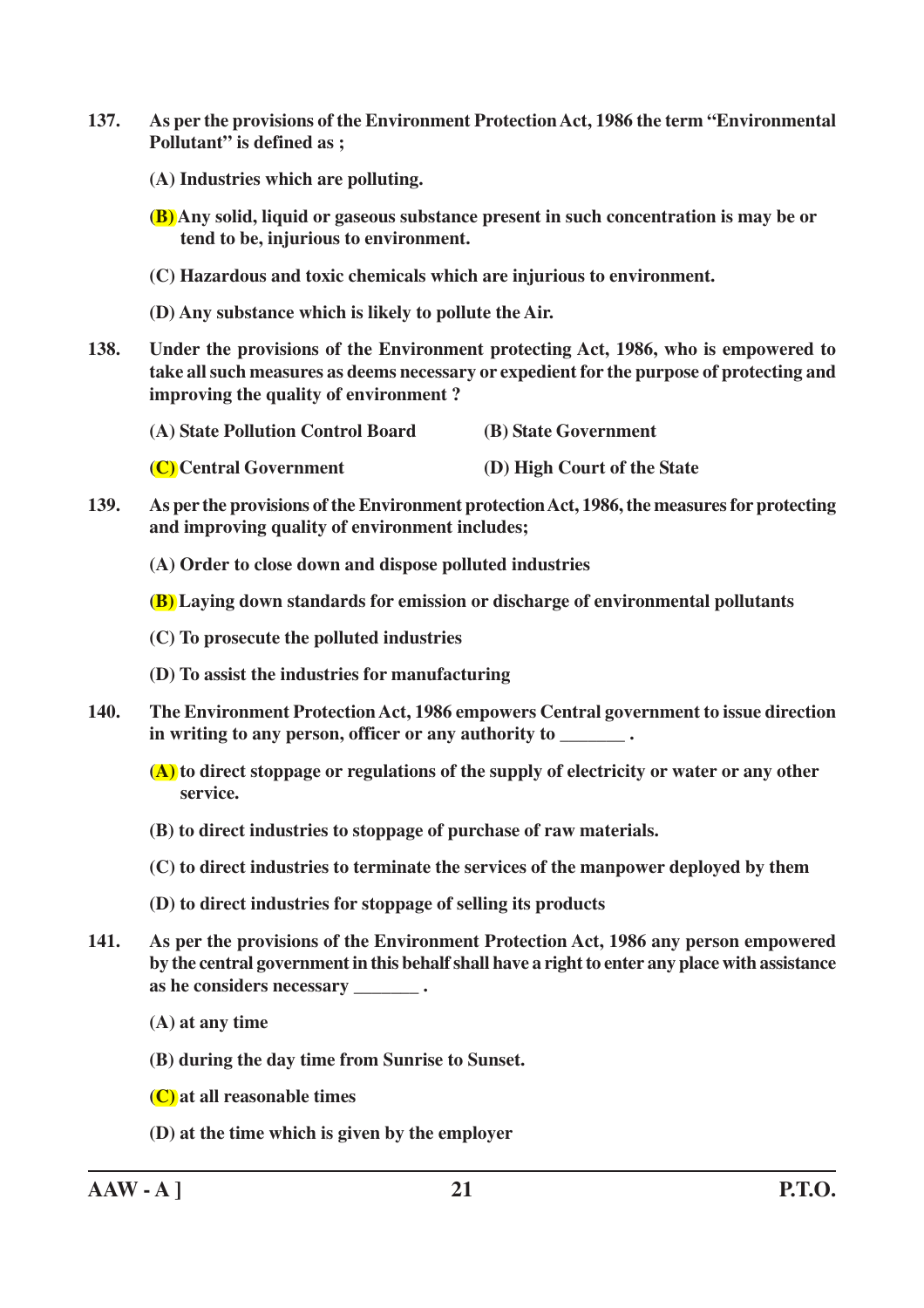- **137. As per the provisions of the Environment Protection Act, 1986 the term "Environmental Pollutant" is defined as ;**
	- **(A) Industries which are polluting.**
	- **(B) Any solid, liquid or gaseous substance present in such concentration is may be or tend to be, injurious to environment.**
	- **(C) Hazardous and toxic chemicals which are injurious to environment.**
	- **(D) Any substance which is likely to pollute the Air.**
- **138. Under the provisions of the Environment protecting Act, 1986, who is empowered to take all such measures as deems necessary or expedient for the purpose of protecting and improving the quality of environment ?**

- **(C) Central Government (D) High Court of the State**
- **139. As per the provisions of the Environment protection Act, 1986, the measures for protecting and improving quality of environment includes;**
	- **(A) Order to close down and dispose polluted industries**
	- **(B) Laying down standards for emission or discharge of environmental pollutants**
	- **(C) To prosecute the polluted industries**
	- **(D) To assist the industries for manufacturing**
- **140. The Environment Protection Act, 1986 empowers Central government to issue direction** in writing to any person, officer or any authority to  $\cdot$ 
	- **(A) to direct stoppage or regulations of the supply of electricity or water or any other service.**
	- **(B) to direct industries to stoppage of purchase of raw materials.**
	- **(C) to direct industries to terminate the services of the manpower deployed by them**
	- **(D) to direct industries for stoppage of selling its products**
- **141. As per the provisions of the Environment Protection Act, 1986 any person empowered by the central government in this behalf shall have a right to enter any place with assistance as he considers necessary \_\_\_\_\_\_\_ .**
	- **(A) at any time**
	- **(B) during the day time from Sunrise to Sunset.**
	- **(C) at all reasonable times**
	- **(D) at the time which is given by the employer**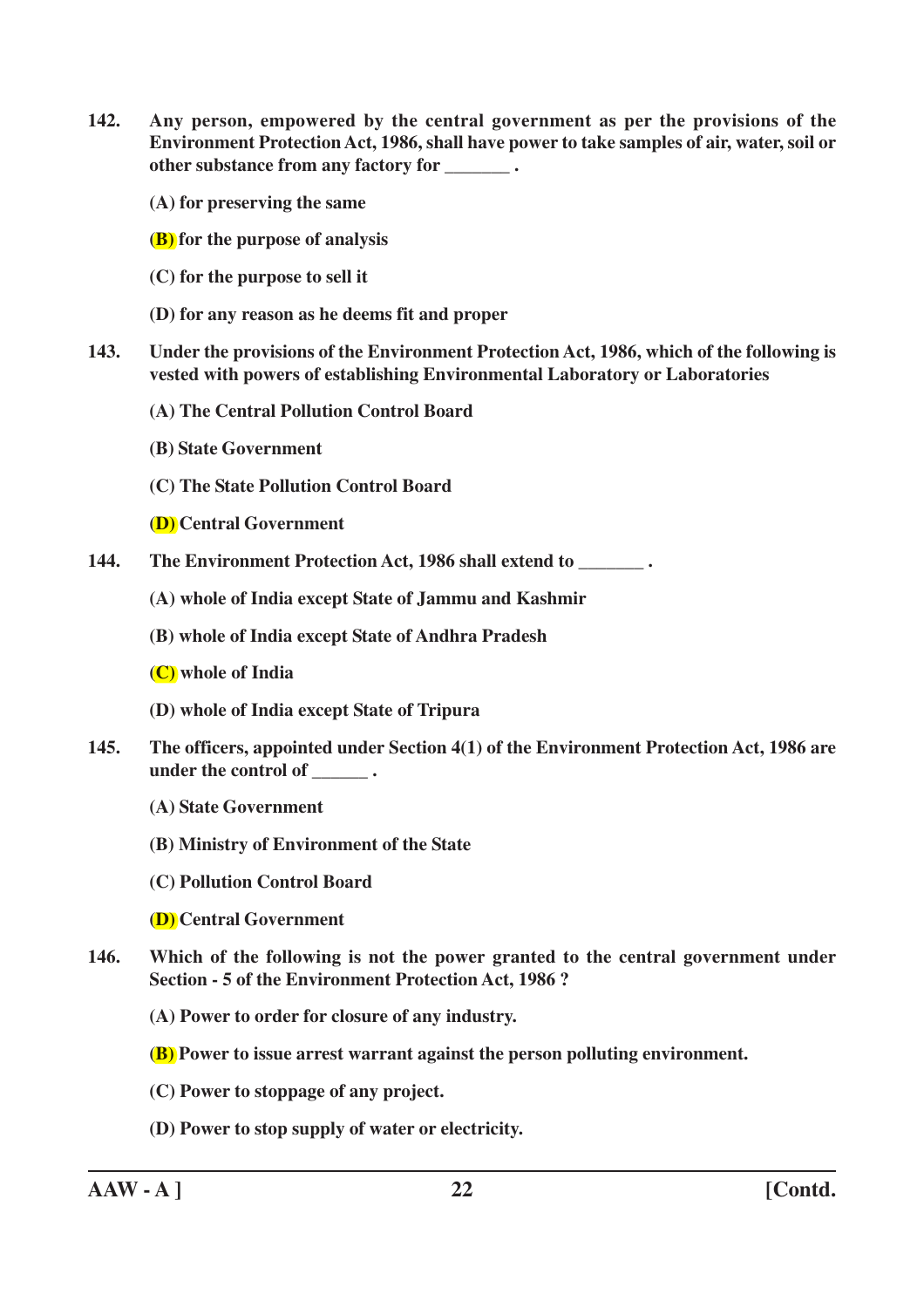**142. Any person, empowered by the central government as per the provisions of the Environment Protection Act, 1986, shall have power to take samples of air, water, soil or other substance from any factory for \_\_\_\_\_\_\_ .**

**(A) for preserving the same**

**(B) for the purpose of analysis**

- **(C) for the purpose to sell it**
- **(D) for any reason as he deems fit and proper**
- **143. Under the provisions of the Environment Protection Act, 1986, which of the following is vested with powers of establishing Environmental Laboratory or Laboratories**
	- **(A) The Central Pollution Control Board**
	- **(B) State Government**
	- **(C) The State Pollution Control Board**

**(D) Central Government**

- **144. The Environment Protection Act, 1986 shall extend to \_\_\_\_\_\_\_ .**
	- **(A) whole of India except State of Jammu and Kashmir**
	- **(B) whole of India except State of Andhra Pradesh**
	- **(C) whole of India**
	- **(D) whole of India except State of Tripura**
- **145. The officers, appointed under Section 4(1) of the Environment Protection Act, 1986 are under the control of \_\_\_\_\_\_ .**
	- **(A) State Government**
	- **(B) Ministry of Environment of the State**
	- **(C) Pollution Control Board**
	- **(D) Central Government**
- **146. Which of the following is not the power granted to the central government under Section - 5 of the Environment Protection Act, 1986 ?**
	- **(A) Power to order for closure of any industry.**
	- **(B) Power to issue arrest warrant against the person polluting environment.**
	- **(C) Power to stoppage of any project.**
	- **(D) Power to stop supply of water or electricity.**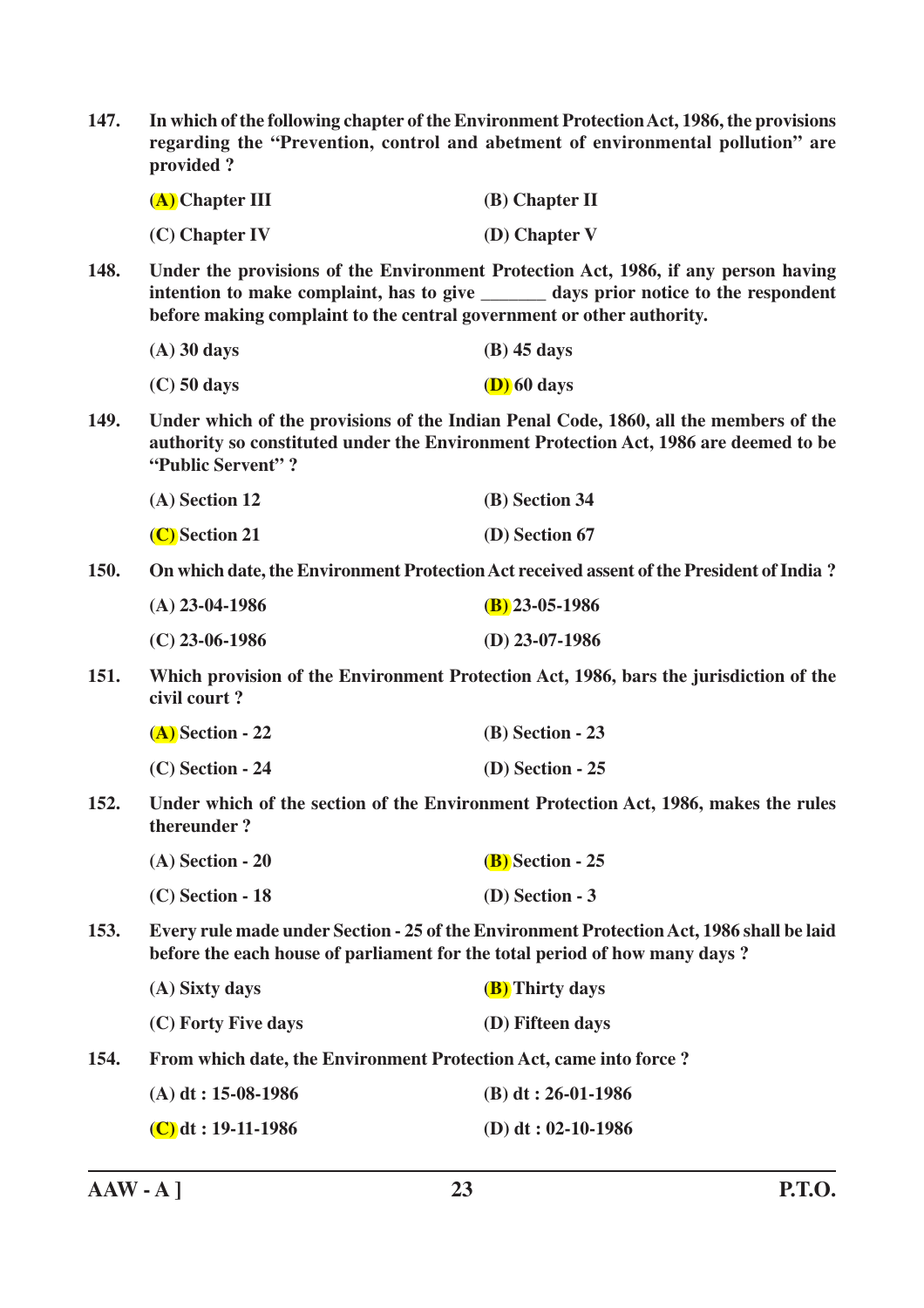| 147.                      | In which of the following chapter of the Environment Protection Act, 1986, the provisions<br>regarding the "Prevention, control and abetment of environmental pollution" are<br>provided?                                                            |                                                                                                                                                                              |  |
|---------------------------|------------------------------------------------------------------------------------------------------------------------------------------------------------------------------------------------------------------------------------------------------|------------------------------------------------------------------------------------------------------------------------------------------------------------------------------|--|
|                           | $(A)$ Chapter III                                                                                                                                                                                                                                    | $(B)$ Chapter II                                                                                                                                                             |  |
|                           | $(C)$ Chapter IV                                                                                                                                                                                                                                     | (D) Chapter V                                                                                                                                                                |  |
| 148.                      | Under the provisions of the Environment Protection Act, 1986, if any person having<br>intention to make complaint, has to give ________ days prior notice to the respondent<br>before making complaint to the central government or other authority. |                                                                                                                                                                              |  |
|                           | $(A)$ 30 days                                                                                                                                                                                                                                        | $(B)$ 45 days                                                                                                                                                                |  |
|                           | $(C)$ 50 days                                                                                                                                                                                                                                        | $(D)$ 60 days                                                                                                                                                                |  |
| 149.<br>"Public Servent"? |                                                                                                                                                                                                                                                      | Under which of the provisions of the Indian Penal Code, 1860, all the members of the<br>authority so constituted under the Environment Protection Act, 1986 are deemed to be |  |
|                           | (A) Section 12                                                                                                                                                                                                                                       | (B) Section 34                                                                                                                                                               |  |
|                           | (C) Section 21                                                                                                                                                                                                                                       | (D) Section 67                                                                                                                                                               |  |
| <b>150.</b>               |                                                                                                                                                                                                                                                      | On which date, the Environment Protection Act received assent of the President of India?                                                                                     |  |
|                           | $(A)$ 23-04-1986                                                                                                                                                                                                                                     | $(B)$ 23-05-1986                                                                                                                                                             |  |
|                           | $(C)$ 23-06-1986                                                                                                                                                                                                                                     | $(D)$ 23-07-1986                                                                                                                                                             |  |
| 151.                      | civil court?                                                                                                                                                                                                                                         | Which provision of the Environment Protection Act, 1986, bars the jurisdiction of the                                                                                        |  |
|                           | $(A)$ Section - 22                                                                                                                                                                                                                                   | $(B)$ Section - 23                                                                                                                                                           |  |
|                           | $(C)$ Section - 24                                                                                                                                                                                                                                   | $(D)$ Section - 25                                                                                                                                                           |  |
| 152.                      | thereunder?                                                                                                                                                                                                                                          | Under which of the section of the Environment Protection Act, 1986, makes the rules                                                                                          |  |
|                           | $(A)$ Section - 20                                                                                                                                                                                                                                   | $(B)$ Section - 25                                                                                                                                                           |  |
|                           | $(C)$ Section - 18                                                                                                                                                                                                                                   | $(D)$ Section - 3                                                                                                                                                            |  |
| 153.                      | before the each house of parliament for the total period of how many days?                                                                                                                                                                           | Every rule made under Section - 25 of the Environment Protection Act, 1986 shall be laid                                                                                     |  |
|                           | (A) Sixty days                                                                                                                                                                                                                                       | <b>(B)</b> Thirty days                                                                                                                                                       |  |
|                           | (C) Forty Five days                                                                                                                                                                                                                                  | (D) Fifteen days                                                                                                                                                             |  |
| 154.                      | From which date, the Environment Protection Act, came into force ?                                                                                                                                                                                   |                                                                                                                                                                              |  |
|                           | $(A)$ dt: 15-08-1986                                                                                                                                                                                                                                 | $(B) dt : 26-01-1986$                                                                                                                                                        |  |
|                           | $(C)$ dt : 19-11-1986                                                                                                                                                                                                                                | (D) dt: $02-10-1986$                                                                                                                                                         |  |
|                           |                                                                                                                                                                                                                                                      |                                                                                                                                                                              |  |

**AAW - A ] 23 P.T.O.**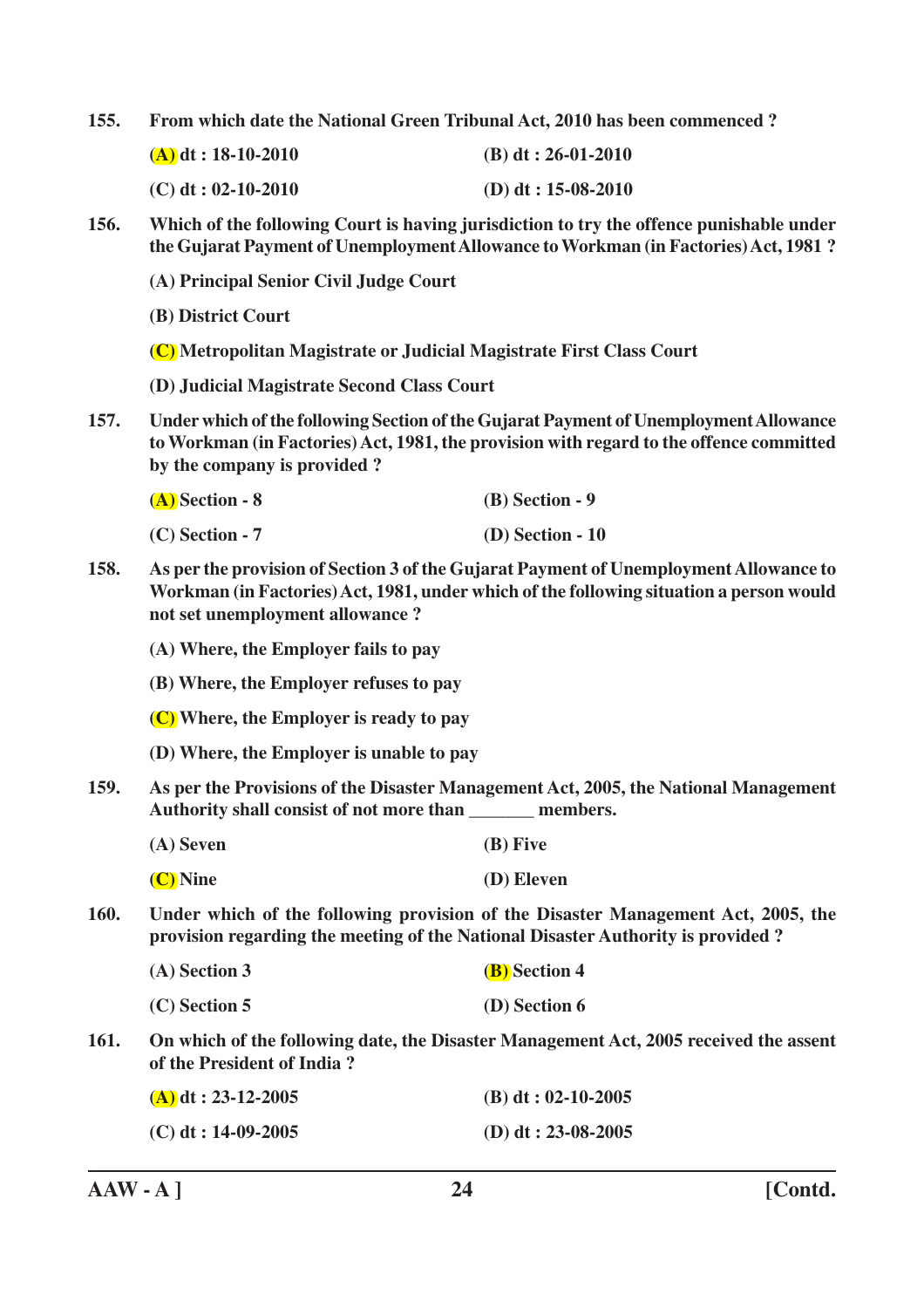**155. From which date the National Green Tribunal Act, 2010 has been commenced ?**

| $(A)$ dt : 18-10-2010 | (B) dt: $26-01-2010$ |
|-----------------------|----------------------|
| $(C)$ dt : 02-10-2010 | (D) dt: $15-08-2010$ |

**156. Which of the following Court is having jurisdiction to try the offence punishable under the Gujarat Payment of Unemployment Allowance to Workman (in Factories) Act, 1981 ?**

**(A) Principal Senior Civil Judge Court**

**(B) District Court**

**(C) Metropolitan Magistrate or Judicial Magistrate First Class Court**

**(D) Judicial Magistrate Second Class Court**

**157. Under which of the following Section of the Gujarat Payment of Unemployment Allowance to Workman (in Factories) Act, 1981, the provision with regard to the offence committed by the company is provided ?**

| (A) Section - 8 | $(B)$ Section - 9  |
|-----------------|--------------------|
| (C) Section - 7 | $(D)$ Section - 10 |

**158. As per the provision of Section 3 of the Gujarat Payment of Unemployment Allowance to Workman (in Factories) Act, 1981, under which of the following situation a person would not set unemployment allowance ?**

**(A) Where, the Employer fails to pay**

- **(B) Where, the Employer refuses to pay**
- **(C) Where, the Employer is ready to pay**
- **(D) Where, the Employer is unable to pay**
- **159. As per the Provisions of the Disaster Management Act, 2005, the National Management Authority shall consist of not more than \_\_\_\_\_\_\_ members.**

| (A) Seven | $(B)$ Five |
|-----------|------------|
|           |            |

**(C) Nine (D) Eleven**

**160. Under which of the following provision of the Disaster Management Act, 2005, the provision regarding the meeting of the National Disaster Authority is provided ?**

| (A) Section 3 | <b>(B)</b> Section 4 |
|---------------|----------------------|
|---------------|----------------------|

| $(C)$ Section 5 | (D) Section 6 |
|-----------------|---------------|
|-----------------|---------------|

**161. On which of the following date, the Disaster Management Act, 2005 received the assent of the President of India ?**

| $(A)$ dt : 23-12-2005 | (B) dt: $02-10-2005$ |
|-----------------------|----------------------|
| $(C)$ dt : 14-09-2005 | (D) dt: $23-08-2005$ |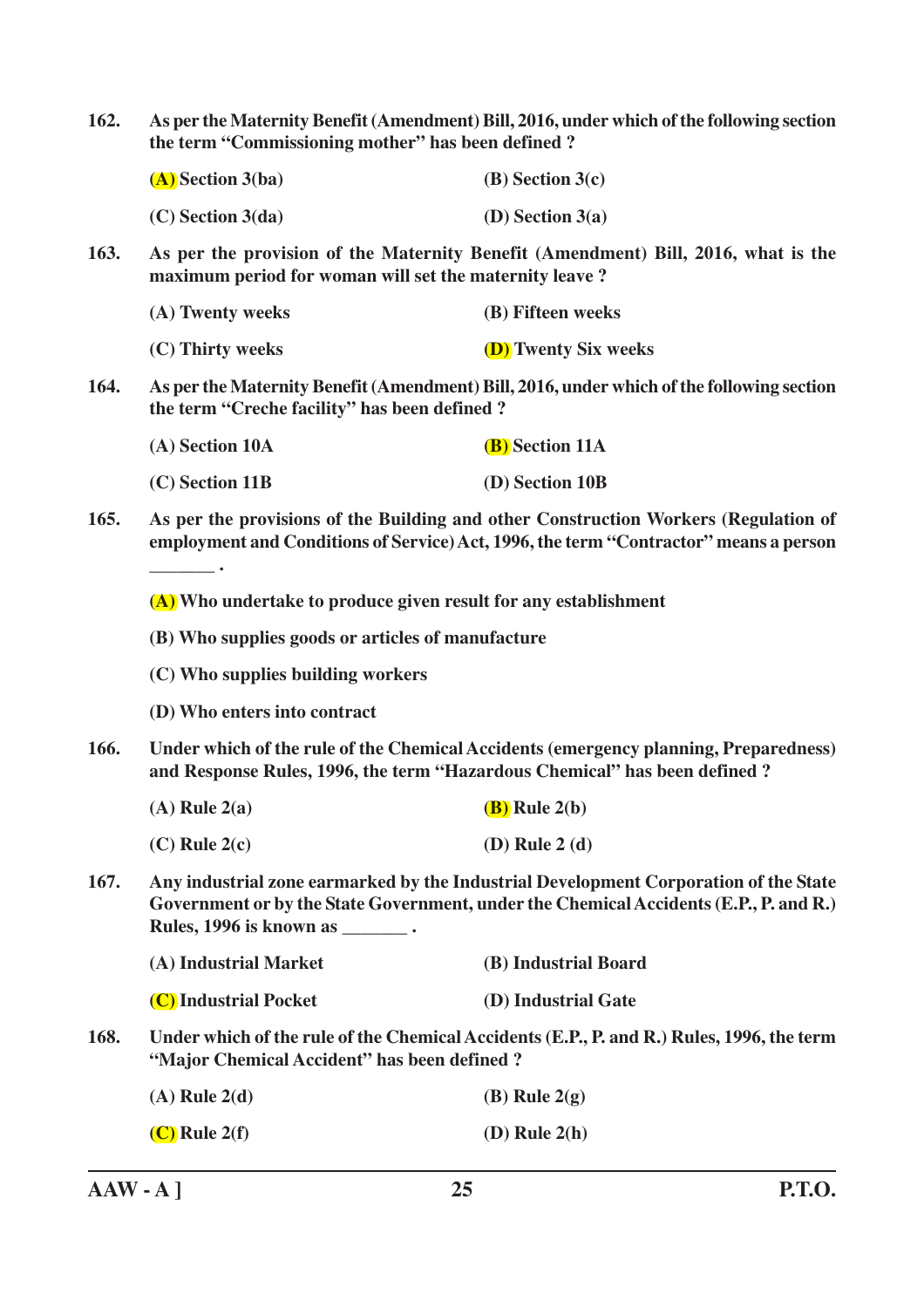**162. As per the Maternity Benefit (Amendment) Bill, 2016, under which of the following section the term "Commissioning mother" has been defined ?**

| $(A)$ Section 3(ba) | $(B)$ Section 3(c) |
|---------------------|--------------------|
| $(C)$ Section 3(da) | $(D)$ Section 3(a) |

**163. As per the provision of the Maternity Benefit (Amendment) Bill, 2016, what is the maximum period for woman will set the maternity leave ?**

| (A) Twenty weeks | (B) Fifteen weeks           |
|------------------|-----------------------------|
| (C) Thirty weeks | <b>(D)</b> Twenty Six weeks |

**164. As per the Maternity Benefit (Amendment) Bill, 2016, under which of the following section the term "Creche facility" has been defined ?**

| (A) Section 10A | <b>(B)</b> Section 11A |
|-----------------|------------------------|
| (C) Section 11B | (D) Section 10B        |

**165. As per the provisions of the Building and other Construction Workers (Regulation of employment and Conditions of Service) Act, 1996, the term "Contractor" means a person**

**(A) Who undertake to produce given result for any establishment**

- **(B) Who supplies goods or articles of manufacture**
- **(C) Who supplies building workers**
- **(D) Who enters into contract**

**\_\_\_\_\_\_\_ .**

- **166. Under which of the rule of the Chemical Accidents (emergency planning, Preparedness) and Response Rules, 1996, the term "Hazardous Chemical" has been defined ?**
	- **(A) Rule 2(a) (B) Rule 2(b)**
	- **(C) Rule 2(c) (D) Rule 2 (d)**
- **167. Any industrial zone earmarked by the Industrial Development Corporation of the State Government or by the State Government, under the Chemical Accidents (E.P., P. and R.) Rules, 1996 is known as \_\_\_\_\_\_\_ .**

| (A) Industrial Market | (B) Industrial Board |
|-----------------------|----------------------|
| (C) Industrial Pocket | (D) Industrial Gate  |

**168. Under which of the rule of the Chemical Accidents (E.P., P. and R.) Rules, 1996, the term "Major Chemical Accident" has been defined ?**

| $(A)$ Rule 2(d) | (B) Rule $2(g)$   |
|-----------------|-------------------|
| $(C)$ Rule 2(f) | $(D)$ Rule $2(h)$ |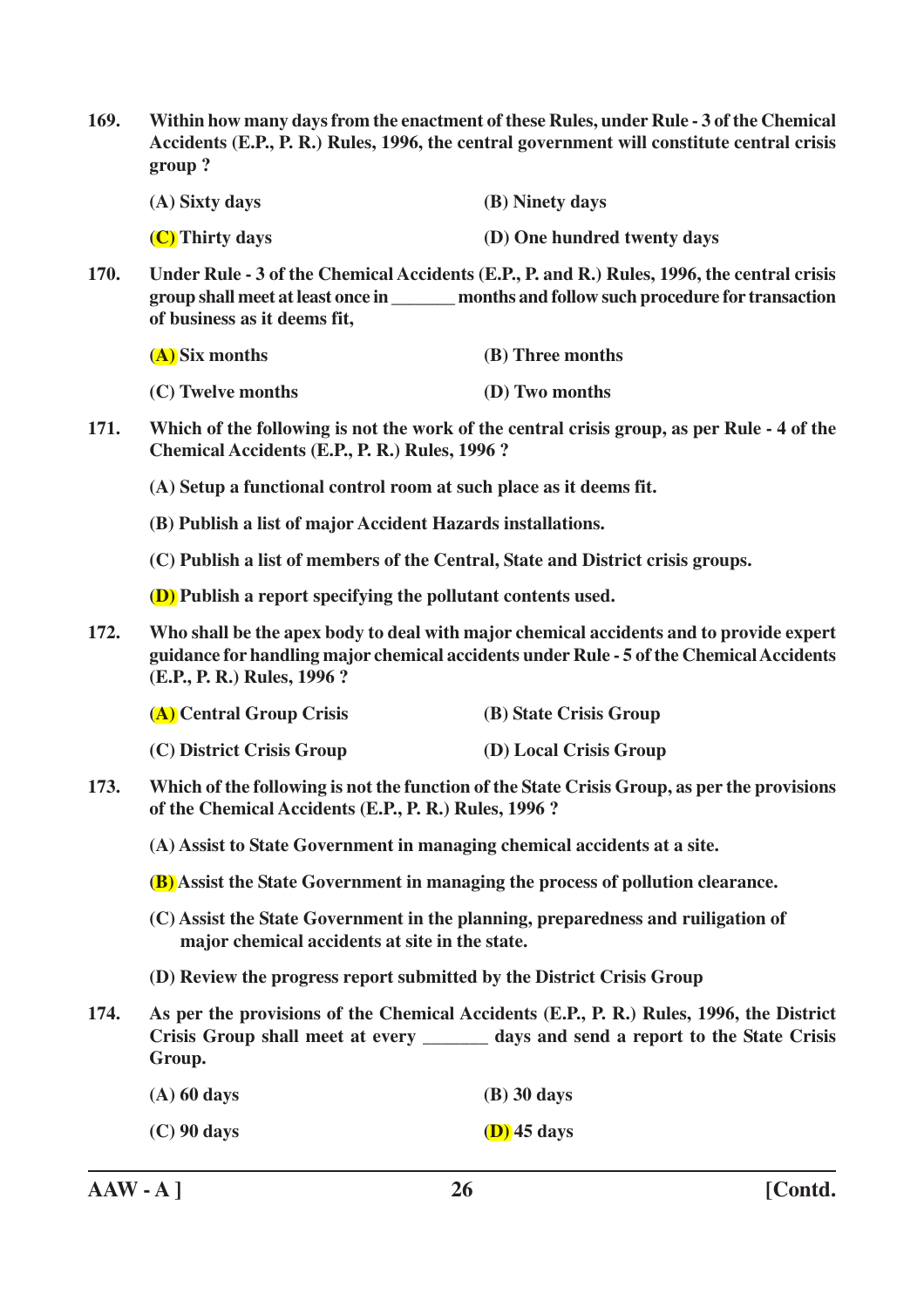**169. Within how many days from the enactment of these Rules, under Rule - 3 of the Chemical Accidents (E.P., P. R.) Rules, 1996, the central government will constitute central crisis group ?**

| (A) Sixty days | (B) Ninety days |
|----------------|-----------------|
|                |                 |

- **(C) Thirty days (D) One hundred twenty days**
- **170. Under Rule 3 of the Chemical Accidents (E.P., P. and R.) Rules, 1996, the central crisis group shall meet at least once in \_\_\_\_\_\_\_ months and follow such procedure for transaction of business as it deems fit,**

| (A) Six months    | (B) Three months |
|-------------------|------------------|
| (C) Twelve months | (D) Two months   |

- **171. Which of the following is not the work of the central crisis group, as per Rule 4 of the Chemical Accidents (E.P., P. R.) Rules, 1996 ?**
	- **(A) Setup a functional control room at such place as it deems fit.**
	- **(B) Publish a list of major Accident Hazards installations.**
	- **(C) Publish a list of members of the Central, State and District crisis groups.**
	- **(D) Publish a report specifying the pollutant contents used.**
- **172. Who shall be the apex body to deal with major chemical accidents and to provide expert guidance for handling major chemical accidents under Rule - 5 of the Chemical Accidents (E.P., P. R.) Rules, 1996 ?**

| (A) Central Group Crisis  | (B) State Crisis Group |
|---------------------------|------------------------|
| (C) District Crisis Group | (D) Local Crisis Group |

**173. Which of the following is not the function of the State Crisis Group, as per the provisions of the Chemical Accidents (E.P., P. R.) Rules, 1996 ?**

**(A) Assist to State Government in managing chemical accidents at a site.**

- **(B) Assist the State Government in managing the process of pollution clearance.**
- **(C) Assist the State Government in the planning, preparedness and ruiligation of major chemical accidents at site in the state.**
- **(D) Review the progress report submitted by the District Crisis Group**
- **174. As per the provisions of the Chemical Accidents (E.P., P. R.) Rules, 1996, the District Crisis Group shall meet at every \_\_\_\_\_\_\_ days and send a report to the State Crisis Group.**

| $(A)$ 60 days | $(B)$ 30 days |
|---------------|---------------|
|---------------|---------------|

**(C) 90 days (D) 45 days**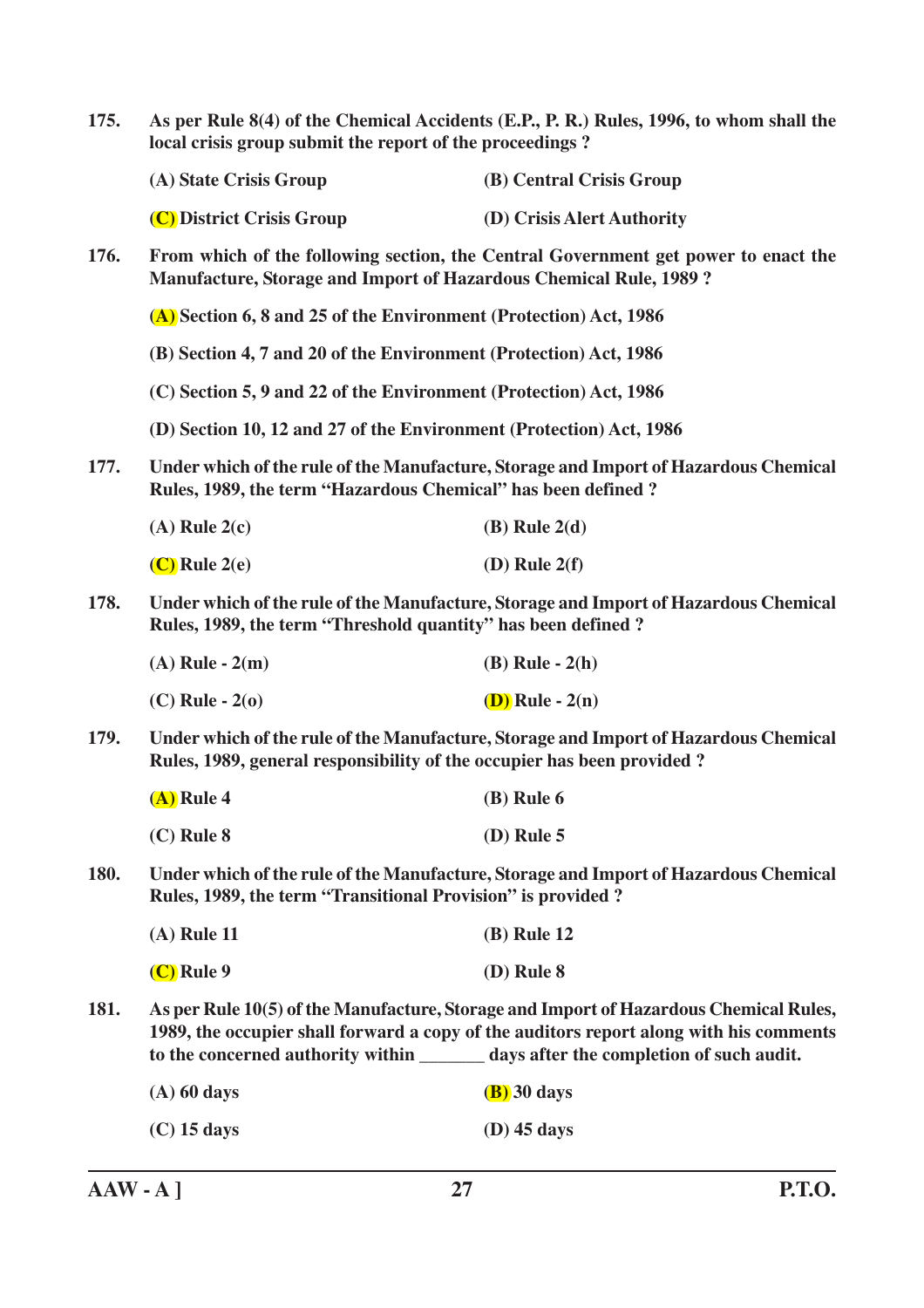| 175.        | As per Rule 8(4) of the Chemical Accidents (E.P., P. R.) Rules, 1996, to whom shall the<br>local crisis group submit the report of the proceedings?                                                                                                                    |                                                                                      |
|-------------|------------------------------------------------------------------------------------------------------------------------------------------------------------------------------------------------------------------------------------------------------------------------|--------------------------------------------------------------------------------------|
|             | (A) State Crisis Group                                                                                                                                                                                                                                                 | (B) Central Crisis Group                                                             |
|             | (C) District Crisis Group                                                                                                                                                                                                                                              | (D) Crisis Alert Authority                                                           |
| 176.        | <b>Manufacture, Storage and Import of Hazardous Chemical Rule, 1989?</b>                                                                                                                                                                                               | From which of the following section, the Central Government get power to enact the   |
|             | (A) Section 6, 8 and 25 of the Environment (Protection) Act, 1986                                                                                                                                                                                                      |                                                                                      |
|             | (B) Section 4, 7 and 20 of the Environment (Protection) Act, 1986                                                                                                                                                                                                      |                                                                                      |
|             | (C) Section 5, 9 and 22 of the Environment (Protection) Act, 1986                                                                                                                                                                                                      |                                                                                      |
|             | (D) Section 10, 12 and 27 of the Environment (Protection) Act, 1986                                                                                                                                                                                                    |                                                                                      |
| 177.        | Rules, 1989, the term "Hazardous Chemical" has been defined?                                                                                                                                                                                                           | Under which of the rule of the Manufacture, Storage and Import of Hazardous Chemical |
|             | $(A)$ Rule 2(c)                                                                                                                                                                                                                                                        | $(B)$ Rule $2(d)$                                                                    |
|             | $(C)$ Rule 2(e)                                                                                                                                                                                                                                                        | $(D)$ Rule $2(f)$                                                                    |
| 178.        | Under which of the rule of the Manufacture, Storage and Import of Hazardous Chemical<br>Rules, 1989, the term "Threshold quantity" has been defined ?                                                                                                                  |                                                                                      |
|             | $(A)$ Rule - $2(m)$                                                                                                                                                                                                                                                    | $(B)$ Rule - $2(h)$                                                                  |
|             | $(C)$ Rule - $2(0)$                                                                                                                                                                                                                                                    | $(D)$ Rule - $2(n)$                                                                  |
| 179.        | Under which of the rule of the Manufacture, Storage and Import of Hazardous Chemical<br>Rules, 1989, general responsibility of the occupier has been provided?                                                                                                         |                                                                                      |
|             | $(A)$ Rule 4                                                                                                                                                                                                                                                           | $(B)$ Rule 6                                                                         |
|             | $(C)$ Rule $8$                                                                                                                                                                                                                                                         | $(D)$ Rule 5                                                                         |
| <b>180.</b> | Under which of the rule of the Manufacture, Storage and Import of Hazardous Chemical<br>Rules, 1989, the term "Transitional Provision" is provided?                                                                                                                    |                                                                                      |
|             | $(A)$ Rule 11                                                                                                                                                                                                                                                          | <b>(B)</b> Rule 12                                                                   |
|             | $(C)$ Rule 9                                                                                                                                                                                                                                                           | $(D)$ Rule $8$                                                                       |
| 181.        | As per Rule 10(5) of the Manufacture, Storage and Import of Hazardous Chemical Rules,<br>1989, the occupier shall forward a copy of the auditors report along with his comments<br>to the concerned authority within ________ days after the completion of such audit. |                                                                                      |
|             | $(A)$ 60 days                                                                                                                                                                                                                                                          | $(B)$ 30 days                                                                        |
|             | $(C)$ 15 days                                                                                                                                                                                                                                                          | $(D)$ 45 days                                                                        |
|             |                                                                                                                                                                                                                                                                        |                                                                                      |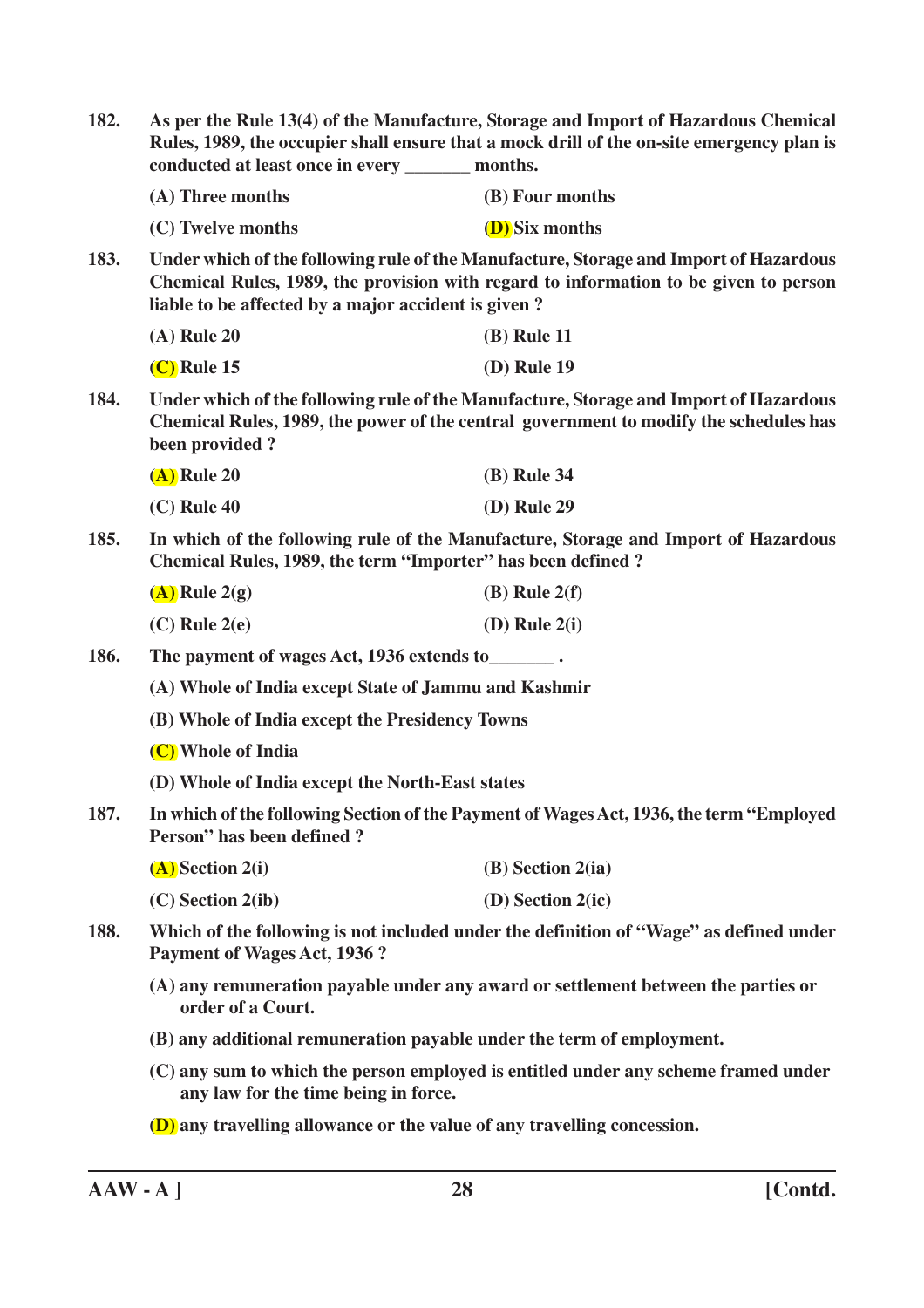| 182. | conducted at least once in every ________ months.                                                                                                                                                                                    | As per the Rule 13(4) of the Manufacture, Storage and Import of Hazardous Chemical<br>Rules, 1989, the occupier shall ensure that a mock drill of the on-site emergency plan is |
|------|--------------------------------------------------------------------------------------------------------------------------------------------------------------------------------------------------------------------------------------|---------------------------------------------------------------------------------------------------------------------------------------------------------------------------------|
|      | (A) Three months                                                                                                                                                                                                                     | (B) Four months                                                                                                                                                                 |
|      | (C) Twelve months                                                                                                                                                                                                                    | <b>(D)</b> Six months                                                                                                                                                           |
| 183. | Under which of the following rule of the Manufacture, Storage and Import of Hazardous<br>Chemical Rules, 1989, the provision with regard to information to be given to person<br>liable to be affected by a major accident is given? |                                                                                                                                                                                 |
|      | $(A)$ Rule 20                                                                                                                                                                                                                        | (B) Rule 11                                                                                                                                                                     |
|      | $(C)$ Rule 15                                                                                                                                                                                                                        | (D) Rule 19                                                                                                                                                                     |
| 184. | Under which of the following rule of the Manufacture, Storage and Import of Hazardous<br>Chemical Rules, 1989, the power of the central government to modify the schedules has<br>been provided?                                     |                                                                                                                                                                                 |
|      | $(A)$ Rule 20                                                                                                                                                                                                                        | (B) Rule 34                                                                                                                                                                     |
|      | $(C)$ Rule 40                                                                                                                                                                                                                        | (D) Rule 29                                                                                                                                                                     |
| 185. | In which of the following rule of the Manufacture, Storage and Import of Hazardous<br>Chemical Rules, 1989, the term "Importer" has been defined?                                                                                    |                                                                                                                                                                                 |
|      | $(A)$ Rule 2(g)                                                                                                                                                                                                                      | $(B)$ Rule $2(f)$                                                                                                                                                               |
|      | $(C)$ Rule $2(e)$                                                                                                                                                                                                                    | $(D)$ Rule $2(i)$                                                                                                                                                               |
| 186. | The payment of wages Act, 1936 extends to ________.                                                                                                                                                                                  |                                                                                                                                                                                 |
|      | (A) Whole of India except State of Jammu and Kashmir                                                                                                                                                                                 |                                                                                                                                                                                 |
|      | (B) Whole of India except the Presidency Towns                                                                                                                                                                                       |                                                                                                                                                                                 |
|      | (C) Whole of India                                                                                                                                                                                                                   |                                                                                                                                                                                 |
|      | (D) Whole of India except the North-East states                                                                                                                                                                                      |                                                                                                                                                                                 |
| 187. | In which of the following Section of the Payment of Wages Act, 1936, the term "Employed<br>Person" has been defined?                                                                                                                 |                                                                                                                                                                                 |
|      | $(A)$ Section 2(i)                                                                                                                                                                                                                   | $(B)$ Section 2(ia)                                                                                                                                                             |
|      | $(C)$ Section 2(ib)                                                                                                                                                                                                                  | $(D)$ Section 2(ic)                                                                                                                                                             |
| 188. | Which of the following is not included under the definition of "Wage" as defined under<br><b>Payment of Wages Act, 1936 ?</b>                                                                                                        |                                                                                                                                                                                 |
|      | (A) any remuneration payable under any award or settlement between the parties or<br>order of a Court.                                                                                                                               |                                                                                                                                                                                 |
|      | (B) any additional remuneration payable under the term of employment.                                                                                                                                                                |                                                                                                                                                                                 |
|      | (C) any sum to which the person employed is entitled under any scheme framed under<br>any law for the time being in force.                                                                                                           |                                                                                                                                                                                 |
|      | (D) any travelling allowance or the value of any travelling concession.                                                                                                                                                              |                                                                                                                                                                                 |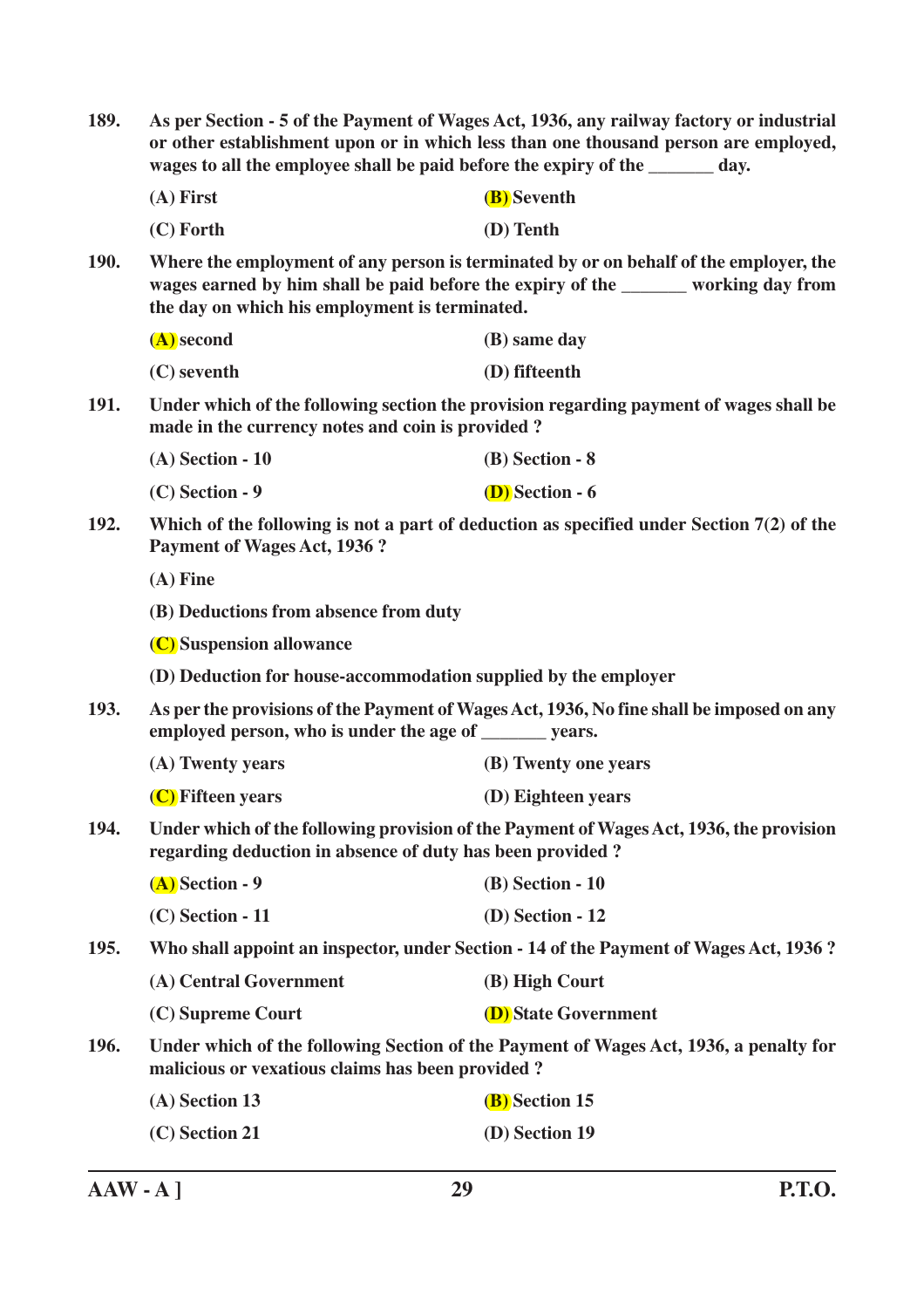**189. As per Section - 5 of the Payment of Wages Act, 1936, any railway factory or industrial or other establishment upon or in which less than one thousand person are employed, wages to all the employee shall be paid before the expiry of the day. (A) First (B) Seventh (C) Forth (D) Tenth 190. Where the employment of any person is terminated by or on behalf of the employer, the wages earned by him shall be paid before the expiry of the \_\_\_\_\_\_\_ working day from the day on which his employment is terminated. (A) second (B) same day (C) seventh (D) fifteenth 191. Under which of the following section the provision regarding payment of wages shall be made in the currency notes and coin is provided ? (A) Section - 10 (B) Section - 8 (C) Section - 9 (D) Section - 6 192. Which of the following is not a part of deduction as specified under Section 7(2) of the Payment of Wages Act, 1936 ? (A) Fine (B) Deductions from absence from duty (C) Suspension allowance (D) Deduction for house-accommodation supplied by the employer 193. As per the provisions of the Payment of Wages Act, 1936, No fine shall be imposed on any employed person, who is under the age of \_\_\_\_\_\_\_ years. (A) Twenty years (B) Twenty one years (C) Fifteen years (D) Eighteen years 194. Under which of the following provision of the Payment of Wages Act, 1936, the provision regarding deduction in absence of duty has been provided ? (A) Section - 9 (B) Section - 10 (C) Section - 11 (D) Section - 12 195. Who shall appoint an inspector, under Section - 14 of the Payment of Wages Act, 1936 ? (A) Central Government (B) High Court (C) Supreme Court (D) State Government 196. Under which of the following Section of the Payment of Wages Act, 1936, a penalty for malicious or vexatious claims has been provided ? (A) Section 13 (B) Section 15 (C) Section 21 (D) Section 19**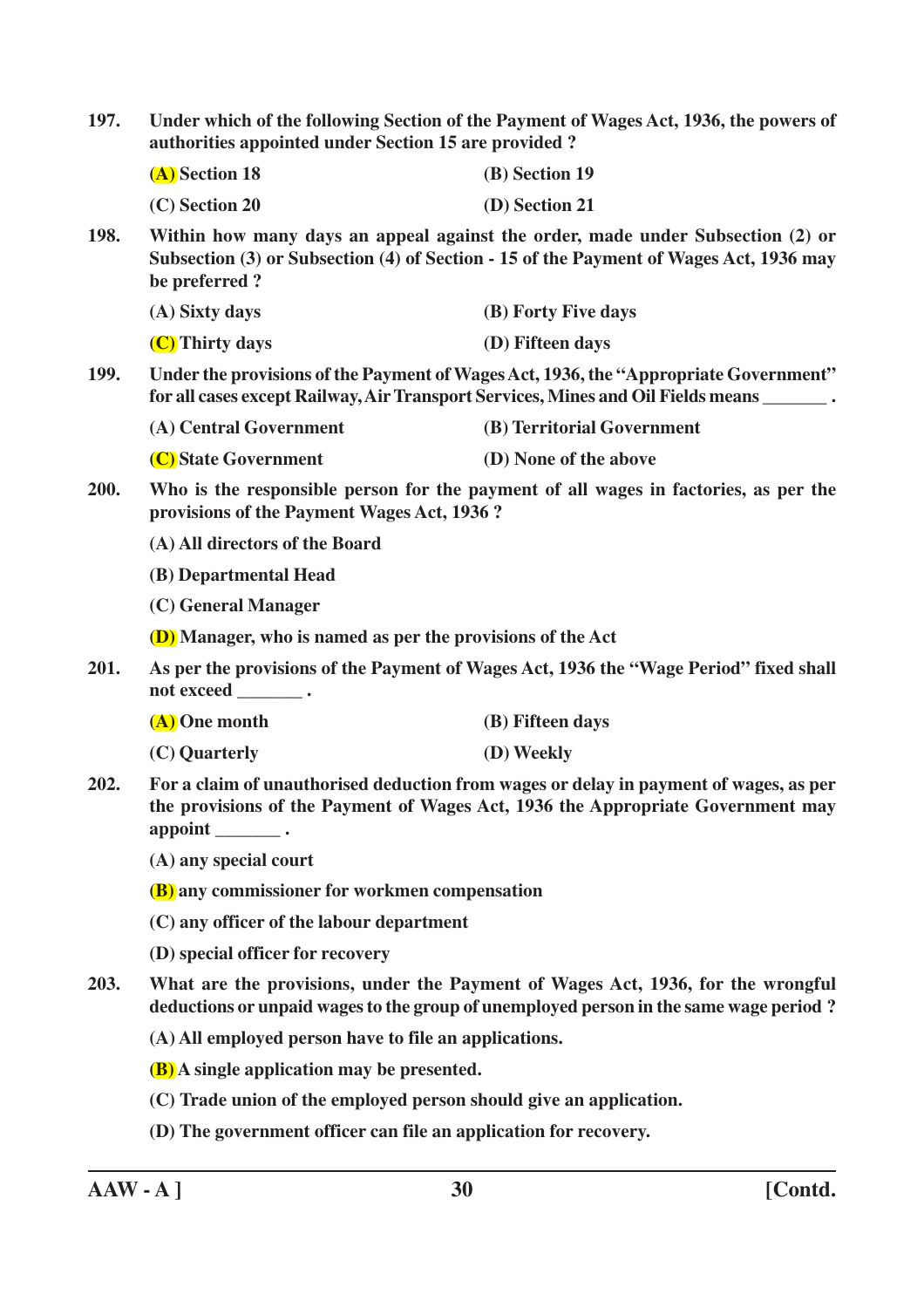| 197.<br>authorities appointed under Section 15 are provided? |                                                                                                                                                                                                     | Under which of the following Section of the Payment of Wages Act, 1936, the powers of                                                                                    |  |
|--------------------------------------------------------------|-----------------------------------------------------------------------------------------------------------------------------------------------------------------------------------------------------|--------------------------------------------------------------------------------------------------------------------------------------------------------------------------|--|
|                                                              | (A) Section 18                                                                                                                                                                                      | (B) Section 19                                                                                                                                                           |  |
|                                                              | (C) Section 20                                                                                                                                                                                      | (D) Section 21                                                                                                                                                           |  |
| <b>198.</b>                                                  | be preferred?                                                                                                                                                                                       | Within how many days an appeal against the order, made under Subsection (2) or<br>Subsection (3) or Subsection (4) of Section - 15 of the Payment of Wages Act, 1936 may |  |
|                                                              | (A) Sixty days                                                                                                                                                                                      | (B) Forty Five days                                                                                                                                                      |  |
|                                                              | (C) Thirty days                                                                                                                                                                                     | (D) Fifteen days                                                                                                                                                         |  |
| <b>199.</b>                                                  | Under the provisions of the Payment of Wages Act, 1936, the "Appropriate Government"<br>for all cases except Railway, Air Transport Services, Mines and Oil Fields means _______.                   |                                                                                                                                                                          |  |
|                                                              | (A) Central Government                                                                                                                                                                              | (B) Territorial Government                                                                                                                                               |  |
|                                                              | (C) State Government                                                                                                                                                                                | (D) None of the above                                                                                                                                                    |  |
| 200.                                                         | Who is the responsible person for the payment of all wages in factories, as per the<br>provisions of the Payment Wages Act, 1936?                                                                   |                                                                                                                                                                          |  |
|                                                              | (A) All directors of the Board                                                                                                                                                                      |                                                                                                                                                                          |  |
|                                                              | (B) Departmental Head                                                                                                                                                                               |                                                                                                                                                                          |  |
|                                                              | (C) General Manager                                                                                                                                                                                 |                                                                                                                                                                          |  |
|                                                              | <b>(D)</b> Manager, who is named as per the provisions of the Act                                                                                                                                   |                                                                                                                                                                          |  |
| 201.                                                         | As per the provisions of the Payment of Wages Act, 1936 the "Wage Period" fixed shall<br>not exceed ___________.                                                                                    |                                                                                                                                                                          |  |
|                                                              | (A) One month                                                                                                                                                                                       | (B) Fifteen days                                                                                                                                                         |  |
|                                                              | (C) Quarterly                                                                                                                                                                                       | (D) Weekly                                                                                                                                                               |  |
| 202.                                                         | For a claim of unauthorised deduction from wages or delay in payment of wages, as per<br>the provisions of the Payment of Wages Act, 1936 the Appropriate Government may<br>appoint $\_\_\_\_\_\$ . |                                                                                                                                                                          |  |
|                                                              | (A) any special court                                                                                                                                                                               |                                                                                                                                                                          |  |
|                                                              | (B) any commissioner for workmen compensation                                                                                                                                                       |                                                                                                                                                                          |  |
|                                                              | (C) any officer of the labour department                                                                                                                                                            |                                                                                                                                                                          |  |
|                                                              | (D) special officer for recovery                                                                                                                                                                    |                                                                                                                                                                          |  |
| 203.                                                         | What are the provisions, under the Payment of Wages Act, 1936, for the wrongful<br>deductions or unpaid wages to the group of unemployed person in the same wage period?                            |                                                                                                                                                                          |  |
|                                                              | (A) All employed person have to file an applications.                                                                                                                                               |                                                                                                                                                                          |  |
|                                                              | <b>(B)</b> A single application may be presented.                                                                                                                                                   |                                                                                                                                                                          |  |
|                                                              |                                                                                                                                                                                                     | (C) Trade union of the employed person should give an application.                                                                                                       |  |
|                                                              | (D) The government officer can file an application for recovery.                                                                                                                                    |                                                                                                                                                                          |  |
|                                                              |                                                                                                                                                                                                     |                                                                                                                                                                          |  |

**AAW - A ] 30 [Contd.**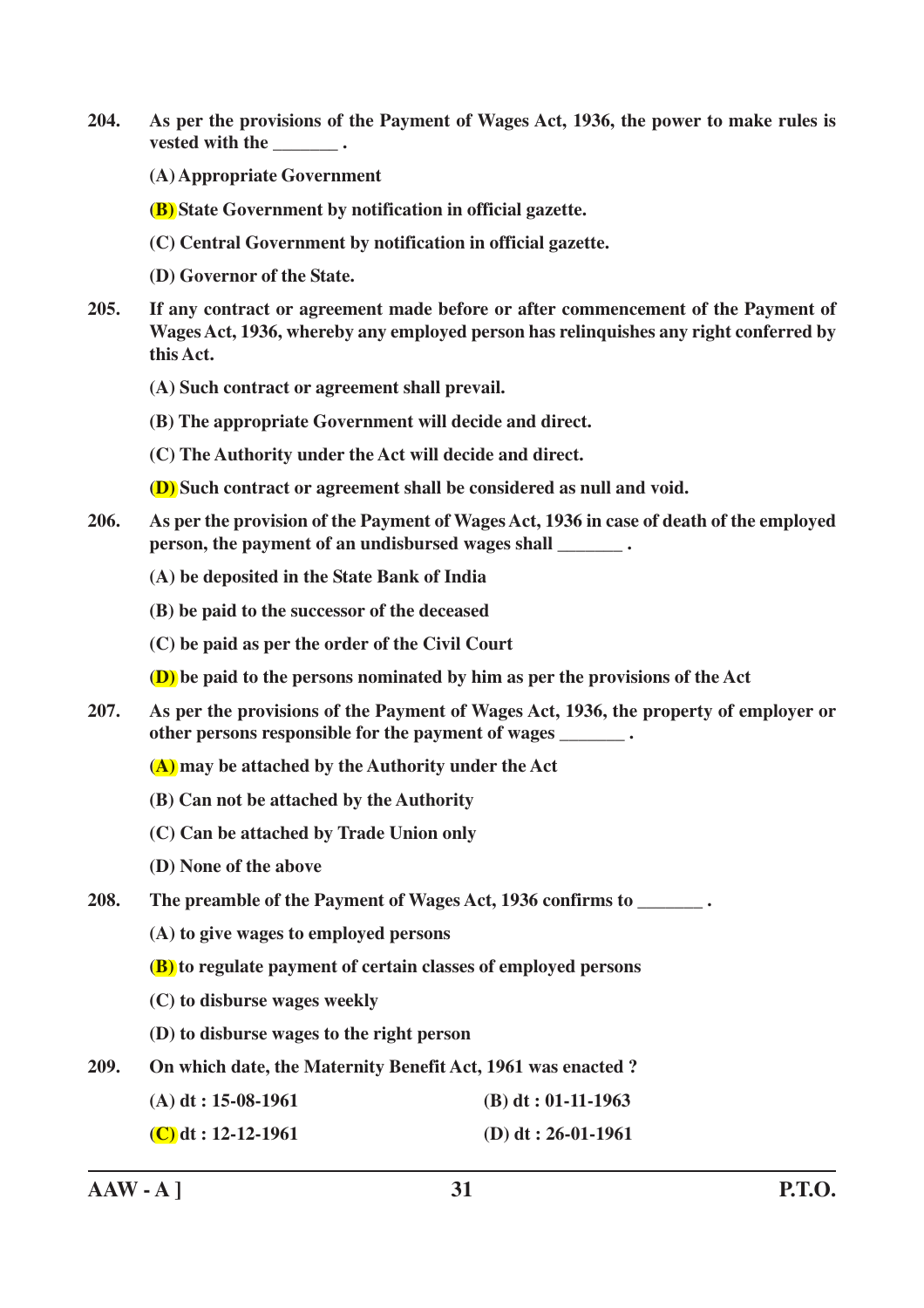- **204. As per the provisions of the Payment of Wages Act, 1936, the power to make rules is vested with the**  $\qquad \bullet$ **.** 
	- **(A) Appropriate Government**
	- **(B) State Government by notification in official gazette.**
	- **(C) Central Government by notification in official gazette.**
	- **(D) Governor of the State.**
- **205. If any contract or agreement made before or after commencement of the Payment of Wages Act, 1936, whereby any employed person has relinquishes any right conferred by this Act.**
	- **(A) Such contract or agreement shall prevail.**
	- **(B) The appropriate Government will decide and direct.**
	- **(C) The Authority under the Act will decide and direct.**
	- **(D) Such contract or agreement shall be considered as null and void.**
- **206. As per the provision of the Payment of Wages Act, 1936 in case of death of the employed person, the payment of an undisbursed wages shall**  $\qquad \bullet$ **.** 
	- **(A) be deposited in the State Bank of India**
	- **(B) be paid to the successor of the deceased**
	- **(C) be paid as per the order of the Civil Court**
	- **(D) be paid to the persons nominated by him as per the provisions of the Act**
- **207. As per the provisions of the Payment of Wages Act, 1936, the property of employer or other persons responsible for the payment of wages \_\_\_\_\_\_\_ .**
	- **(A) may be attached by the Authority under the Act**
	- **(B) Can not be attached by the Authority**
	- **(C) Can be attached by Trade Union only**
	- **(D) None of the above**
- **208. The preamble of the Payment of Wages Act, 1936 confirms to \_\_\_\_\_\_\_ .**
	- **(A) to give wages to employed persons**
	- **(B) to regulate payment of certain classes of employed persons**
	- **(C) to disburse wages weekly**
	- **(D) to disburse wages to the right person**
- **209. On which date, the Maternity Benefit Act, 1961 was enacted ?**
	- **(A) dt : 15-08-1961 (B) dt : 01-11-1963**
	- **(C) dt : 12-12-1961 (D) dt : 26-01-1961**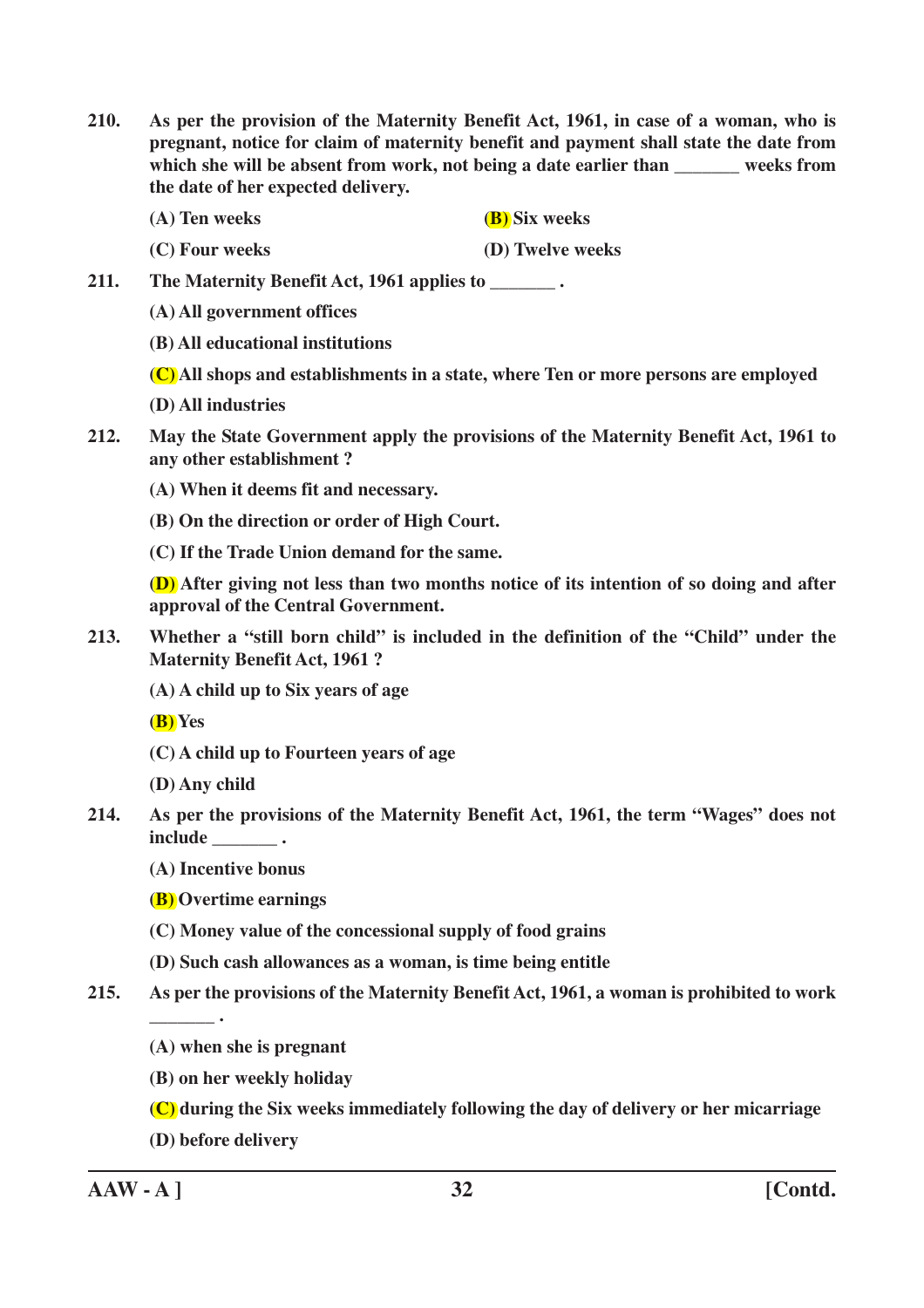- **210. As per the provision of the Maternity Benefit Act, 1961, in case of a woman, who is pregnant, notice for claim of maternity benefit and payment shall state the date from** which she will be absent from work, not being a date earlier than weeks from **the date of her expected delivery.**
	- **(A) Ten weeks (B) Six weeks**
	- **(C) Four weeks (D) Twelve weeks**

**211. The Maternity Benefit Act, 1961 applies to \_\_\_\_\_\_\_ .**

- **(A) All government offices**
- **(B) All educational institutions**
- **(C) All shops and establishments in a state, where Ten or more persons are employed**
- **(D) All industries**
- **212. May the State Government apply the provisions of the Maternity Benefit Act, 1961 to any other establishment ?**
	- **(A) When it deems fit and necessary.**
	- **(B) On the direction or order of High Court.**
	- **(C) If the Trade Union demand for the same.**

**(D) After giving not less than two months notice of its intention of so doing and after approval of the Central Government.**

- **213. Whether a "still born child" is included in the definition of the "Child" under the Maternity Benefit Act, 1961 ?**
	- **(A) A child up to Six years of age**

**(B) Yes**

- **(C) A child up to Fourteen years of age**
- **(D) Any child**
- **214. As per the provisions of the Maternity Benefit Act, 1961, the term "Wages" does not include \_\_\_\_\_\_\_ .**
	- **(A) Incentive bonus**
	- **(B) Overtime earnings**
	- **(C) Money value of the concessional supply of food grains**
	- **(D) Such cash allowances as a woman, is time being entitle**
- **215. As per the provisions of the Maternity Benefit Act, 1961, a woman is prohibited to work**
	- **(A) when she is pregnant**
	- **(B) on her weekly holiday**
	- **(C) during the Six weeks immediately following the day of delivery or her micarriage**
	- **(D) before delivery**

**\_\_\_\_\_\_\_ .**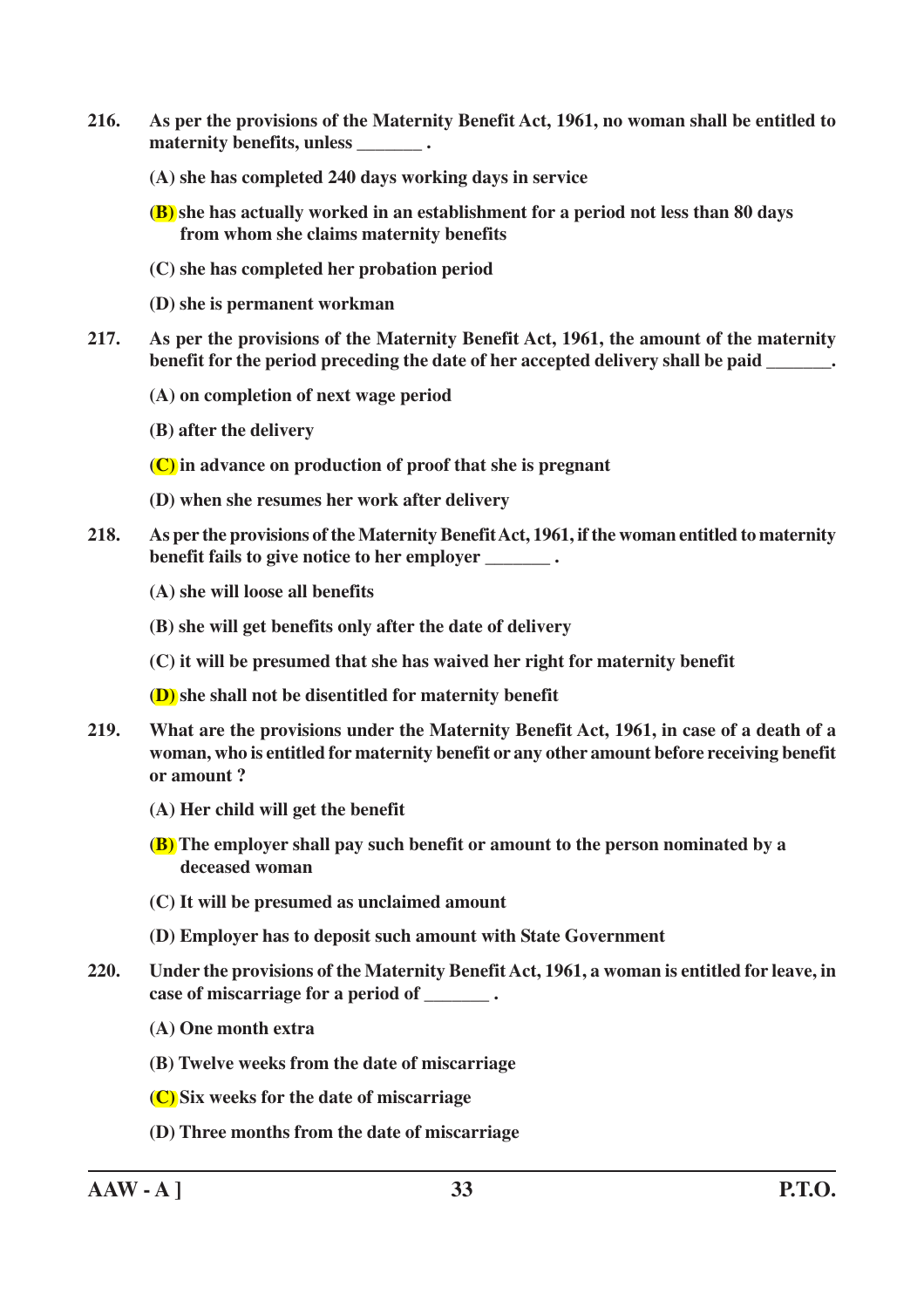- **216. As per the provisions of the Maternity Benefit Act, 1961, no woman shall be entitled to maternity benefits, unless \_\_\_\_\_\_\_ .**
	- **(A) she has completed 240 days working days in service**
	- **(B) she has actually worked in an establishment for a period not less than 80 days from whom she claims maternity benefits**
	- **(C) she has completed her probation period**
	- **(D) she is permanent workman**
- **217. As per the provisions of the Maternity Benefit Act, 1961, the amount of the maternity benefit for the period preceding the date of her accepted delivery shall be paid \_\_\_\_\_\_\_.**
	- **(A) on completion of next wage period**
	- **(B) after the delivery**
	- **(C) in advance on production of proof that she is pregnant**
	- **(D) when she resumes her work after delivery**
- **218. As per the provisions of the Maternity Benefit Act, 1961, if the woman entitled to maternity benefit fails to give notice to her employer** .
	- **(A) she will loose all benefits**
	- **(B) she will get benefits only after the date of delivery**
	- **(C) it will be presumed that she has waived her right for maternity benefit**

**(D) she shall not be disentitled for maternity benefit**

- **219. What are the provisions under the Maternity Benefit Act, 1961, in case of a death of a woman, who is entitled for maternity benefit or any other amount before receiving benefit or amount ?**
	- **(A) Her child will get the benefit**
	- **(B) The employer shall pay such benefit or amount to the person nominated by a deceased woman**
	- **(C) It will be presumed as unclaimed amount**
	- **(D) Employer has to deposit such amount with State Government**
- **220. Under the provisions of the Maternity Benefit Act, 1961, a woman is entitled for leave, in case of miscarriage for a period of \_\_\_\_\_\_\_ .**
	- **(A) One month extra**
	- **(B) Twelve weeks from the date of miscarriage**
	- **(C) Six weeks for the date of miscarriage**
	- **(D) Three months from the date of miscarriage**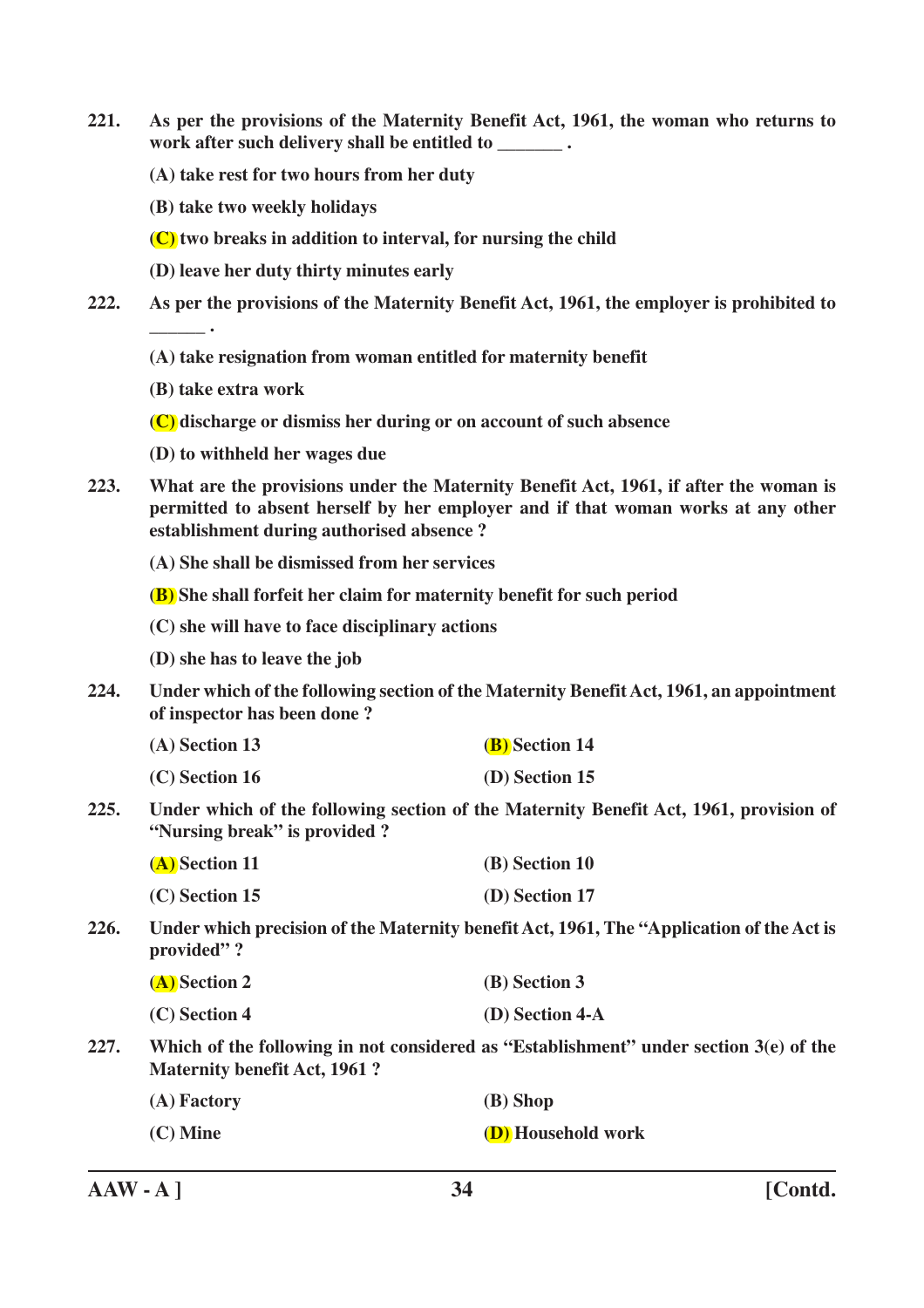- **221. As per the provisions of the Maternity Benefit Act, 1961, the woman who returns to work after such delivery shall be entitled to \_\_\_\_\_\_\_ .**
	- **(A) take rest for two hours from her duty**
	- **(B) take two weekly holidays**
	- **(C) two breaks in addition to interval, for nursing the child**
	- **(D) leave her duty thirty minutes early**
- **222. As per the provisions of the Maternity Benefit Act, 1961, the employer is prohibited to \_\_\_\_\_\_ .**
	- **(A) take resignation from woman entitled for maternity benefit**
	- **(B) take extra work**
	- **(C) discharge or dismiss her during or on account of such absence**
	- **(D) to withheld her wages due**
- **223. What are the provisions under the Maternity Benefit Act, 1961, if after the woman is permitted to absent herself by her employer and if that woman works at any other establishment during authorised absence ?**
	- **(A) She shall be dismissed from her services**
	- **(B) She shall forfeit her claim for maternity benefit for such period**
	- **(C) she will have to face disciplinary actions**
	- **(D) she has to leave the job**
- **224. Under which of the following section of the Maternity Benefit Act, 1961, an appointment of inspector has been done ?**
	- **(A) Section 13 (B) Section 14**
	- **(C) Section 16 (D) Section 15**
- **225. Under which of the following section of the Maternity Benefit Act, 1961, provision of "Nursing break" is provided ?**

| (A) Section 11   | (B) Section 10 |
|------------------|----------------|
| $(C)$ Section 15 | (D) Section 17 |

**226. Under which precision of the Maternity benefit Act, 1961, The "Application of the Act is provided" ?**

| (A) Section 2 | (B) Section 3     |
|---------------|-------------------|
| (C) Section 4 | $(D)$ Section 4-A |

**227. Which of the following in not considered as "Establishment" under section 3(e) of the Maternity benefit Act, 1961 ?**

| (A) Factory | (B) Shop                  |
|-------------|---------------------------|
| $(C)$ Mine  | <b>(D)</b> Household work |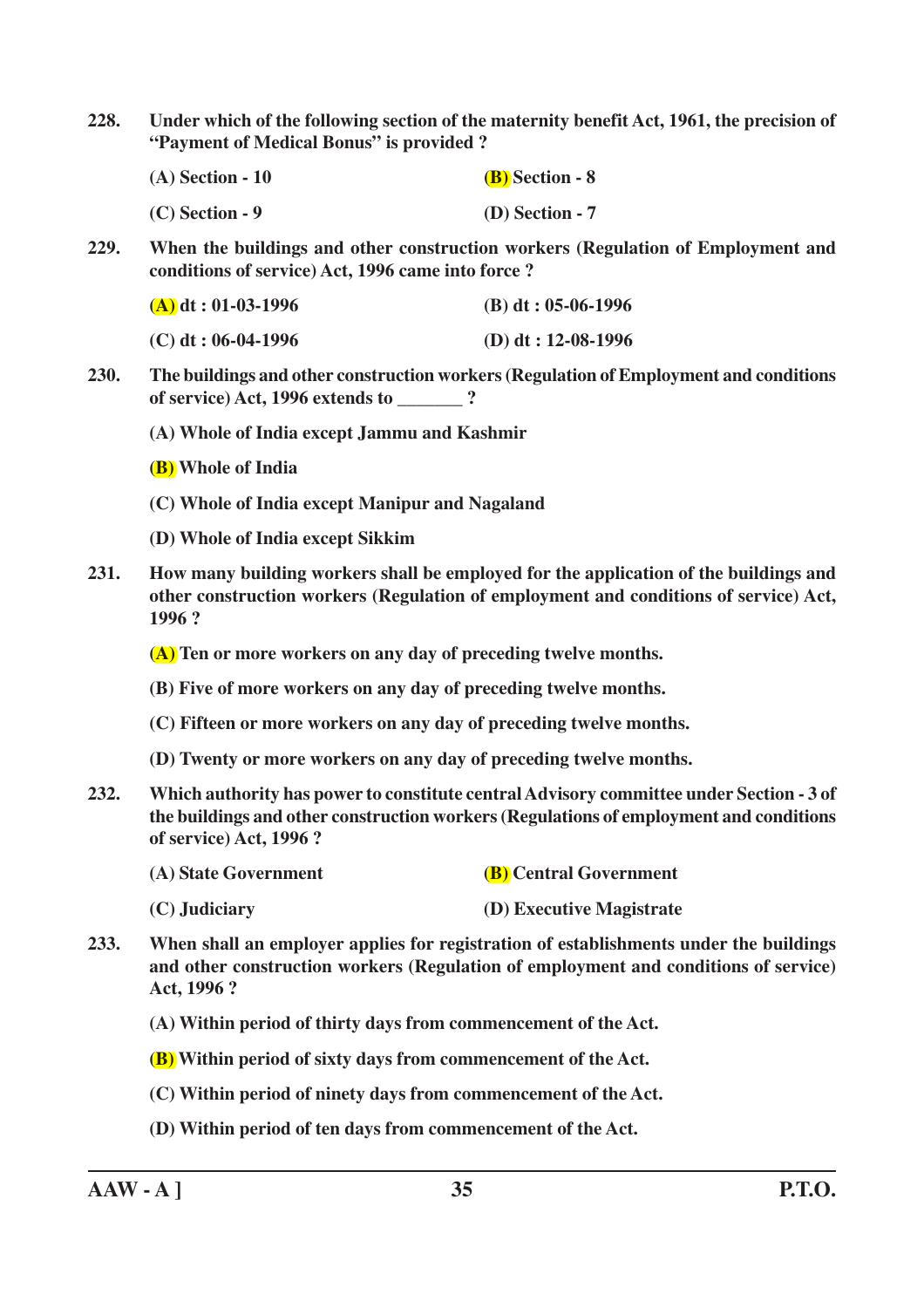**228. Under which of the following section of the maternity benefit Act, 1961, the precision of "Payment of Medical Bonus" is provided ?**

| $(A)$ Section - 10 | <b>(B)</b> Section - 8 |
|--------------------|------------------------|
| $(C)$ Section - 9  | $(D)$ Section - 7      |

**229. When the buildings and other construction workers (Regulation of Employment and conditions of service) Act, 1996 came into force ?**

| $(A)$ dt : 01-03-1996 | $(B) dt : 05-06-1996$ |
|-----------------------|-----------------------|
| $(C)$ dt : 06-04-1996 | (D) dt: $12-08-1996$  |

- **230. The buildings and other construction workers (Regulation of Employment and conditions of service) Act, 1996 extends to \_\_\_\_\_\_\_ ?**
	- **(A) Whole of India except Jammu and Kashmir**
	- **(B) Whole of India**
	- **(C) Whole of India except Manipur and Nagaland**
	- **(D) Whole of India except Sikkim**
- **231. How many building workers shall be employed for the application of the buildings and other construction workers (Regulation of employment and conditions of service) Act, 1996 ?**

**(A) Ten or more workers on any day of preceding twelve months.**

- **(B) Five of more workers on any day of preceding twelve months.**
- **(C) Fifteen or more workers on any day of preceding twelve months.**
- **(D) Twenty or more workers on any day of preceding twelve months.**
- **232. Which authority has power to constitute central Advisory committee under Section 3 of the buildings and other construction workers (Regulations of employment and conditions of service) Act, 1996 ?**

| (A) State Government | <b>(B)</b> Central Government |
|----------------------|-------------------------------|
|----------------------|-------------------------------|

- **(C) Judiciary (D) Executive Magistrate**
- **233. When shall an employer applies for registration of establishments under the buildings and other construction workers (Regulation of employment and conditions of service) Act, 1996 ?**
	- **(A) Within period of thirty days from commencement of the Act.**
	- **(B) Within period of sixty days from commencement of the Act.**
	- **(C) Within period of ninety days from commencement of the Act.**
	- **(D) Within period of ten days from commencement of the Act.**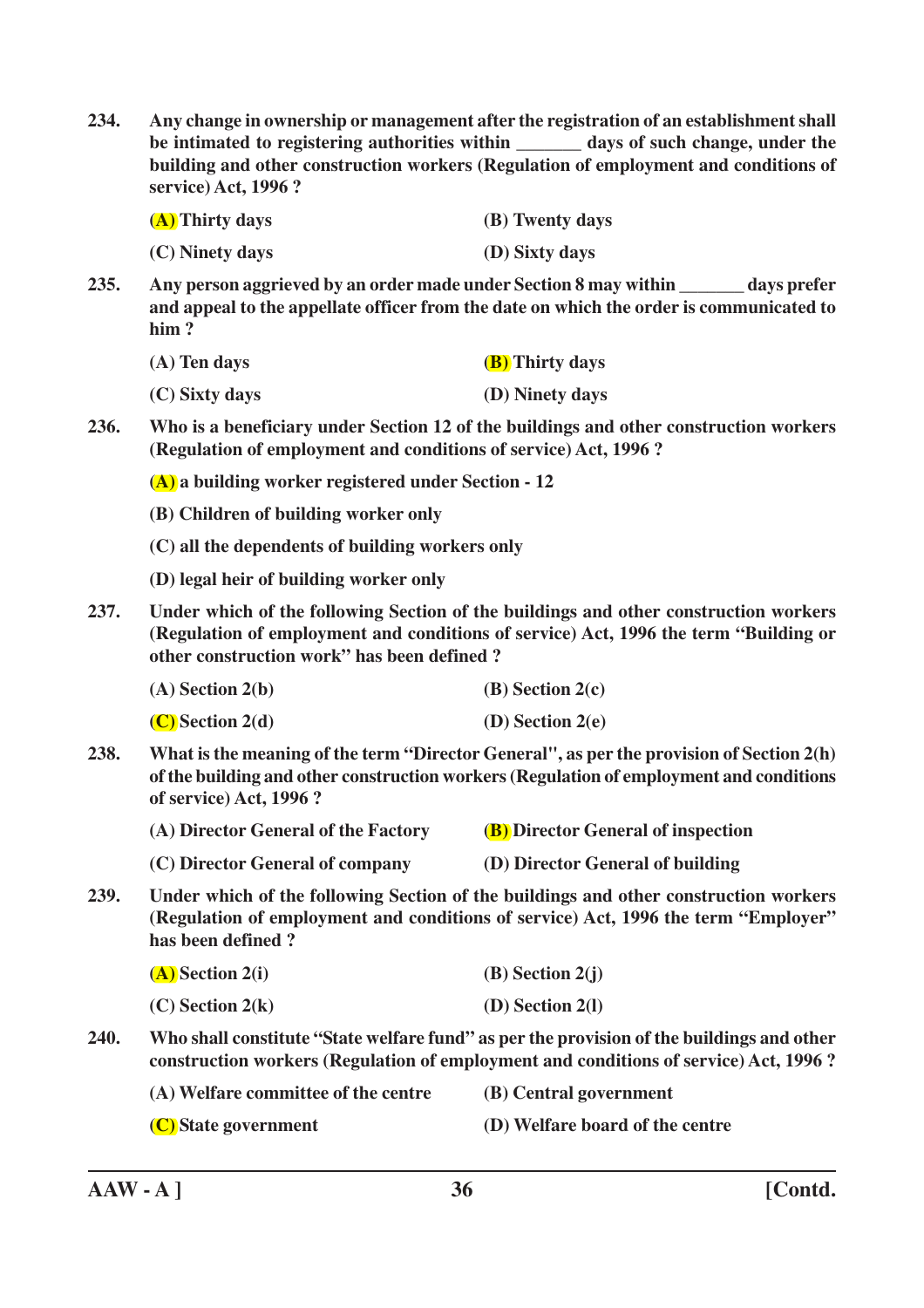**234. Any change in ownership or management after the registration of an establishment shall be intimated to registering authorities within \_\_\_\_\_\_\_ days of such change, under the building and other construction workers (Regulation of employment and conditions of service) Act, 1996 ?**

| (A) Thirty days | (B) Twenty days |
|-----------------|-----------------|
| (C) Ninety days | (D) Sixty days  |

**235. Any person aggrieved by an order made under Section 8 may within \_\_\_\_\_\_\_ days prefer and appeal to the appellate officer from the date on which the order is communicated to him ?**

| $(A)$ Ten days | <b>(B)</b> Thirty days |
|----------------|------------------------|
| (C) Sixty days | (D) Ninety days        |

**236. Who is a beneficiary under Section 12 of the buildings and other construction workers (Regulation of employment and conditions of service) Act, 1996 ?**

**(A) a building worker registered under Section - 12**

- **(B) Children of building worker only**
- **(C) all the dependents of building workers only**
- **(D) legal heir of building worker only**
- **237. Under which of the following Section of the buildings and other construction workers (Regulation of employment and conditions of service) Act, 1996 the term "Building or other construction work" has been defined ?**

| $(A)$ Section 2(b) | (B) Section $2(c)$ |
|--------------------|--------------------|
|--------------------|--------------------|

**(C) Section 2(d) (D) Section 2(e)**

**238. What is the meaning of the term "Director General", as per the provision of Section 2(h) of the building and other construction workers (Regulation of employment and conditions of service) Act, 1996 ?**

| (A) Director General of the Factory | <b>(B)</b> Director General of inspection |
|-------------------------------------|-------------------------------------------|
|                                     |                                           |

- **(C) Director General of company (D) Director General of building**
- **239. Under which of the following Section of the buildings and other construction workers (Regulation of employment and conditions of service) Act, 1996 the term "Employer" has been defined ?**

| $(A)$ Section 2(i) | $(B)$ Section 2(j) |
|--------------------|--------------------|
| $(C)$ Section 2(k) | $(D)$ Section 2(1) |

**240. Who shall constitute "State welfare fund" as per the provision of the buildings and other construction workers (Regulation of employment and conditions of service) Act, 1996 ?**

**(A) Welfare committee of the centre (B) Central government**

**(C) State government (D) Welfare board of the centre**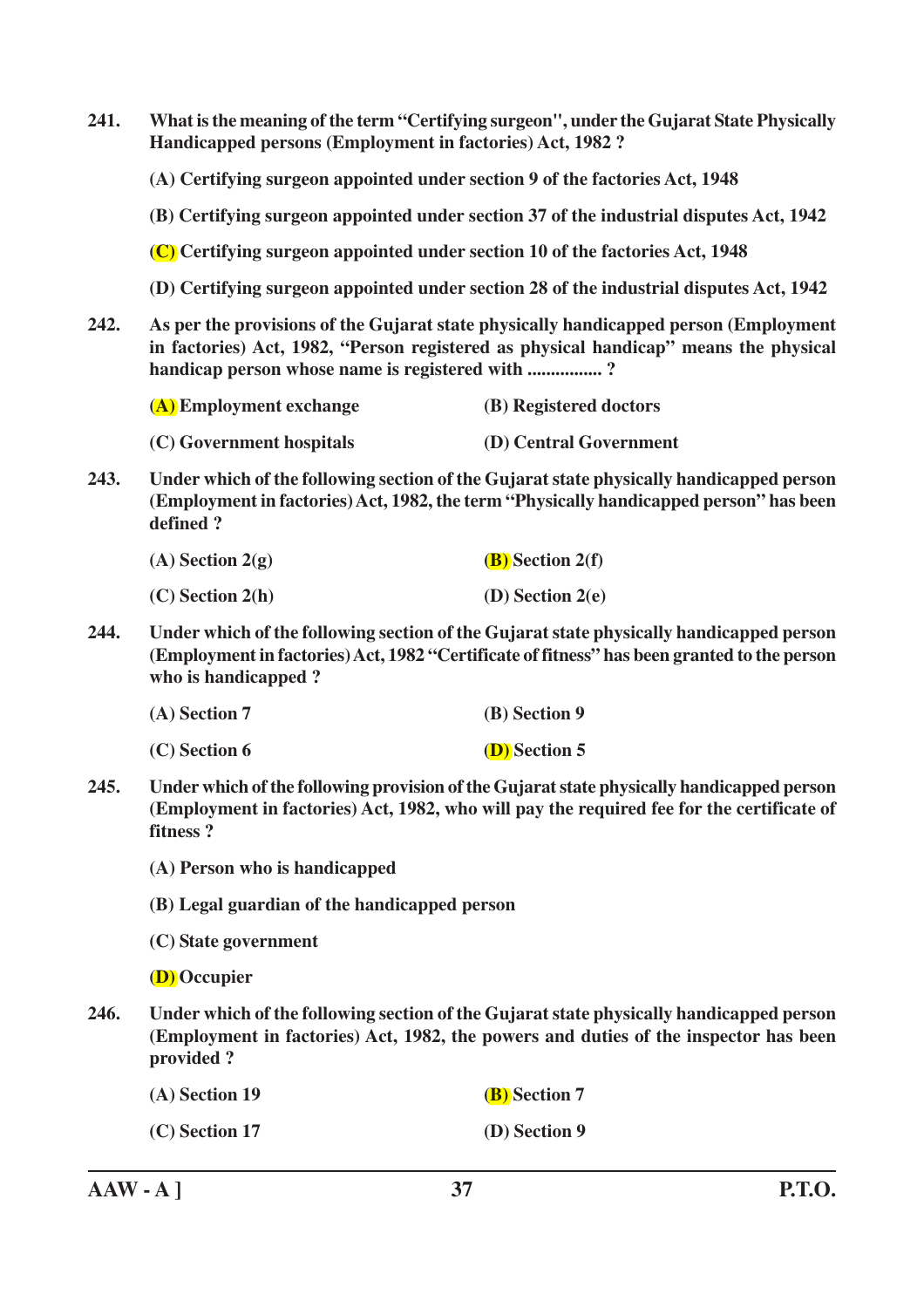| 241. | What is the meaning of the term "Certifying surgeon", under the Gujarat State Physically<br>Handicapped persons (Employment in factories) Act, 1982?                                               |                                                                                                                                                                                                                                 |  |
|------|----------------------------------------------------------------------------------------------------------------------------------------------------------------------------------------------------|---------------------------------------------------------------------------------------------------------------------------------------------------------------------------------------------------------------------------------|--|
|      | (A) Certifying surgeon appointed under section 9 of the factories Act, 1948                                                                                                                        |                                                                                                                                                                                                                                 |  |
|      | (B) Certifying surgeon appointed under section 37 of the industrial disputes Act, 1942                                                                                                             |                                                                                                                                                                                                                                 |  |
|      | (C) Certifying surgeon appointed under section 10 of the factories Act, 1948                                                                                                                       |                                                                                                                                                                                                                                 |  |
|      | (D) Certifying surgeon appointed under section 28 of the industrial disputes Act, 1942                                                                                                             |                                                                                                                                                                                                                                 |  |
| 242. |                                                                                                                                                                                                    | As per the provisions of the Gujarat state physically handicapped person (Employment<br>in factories) Act, 1982, "Person registered as physical handicap" means the physical<br>handicap person whose name is registered with ? |  |
|      | (A) Employment exchange                                                                                                                                                                            | (B) Registered doctors                                                                                                                                                                                                          |  |
|      | (C) Government hospitals                                                                                                                                                                           | (D) Central Government                                                                                                                                                                                                          |  |
| 243. | Under which of the following section of the Gujarat state physically handicapped person<br>(Employment in factories) Act, 1982, the term "Physically handicapped person" has been<br>defined?      |                                                                                                                                                                                                                                 |  |
|      | $(A)$ Section 2(g)                                                                                                                                                                                 | $(B)$ Section 2(f)                                                                                                                                                                                                              |  |
|      | $(C)$ Section 2(h)                                                                                                                                                                                 | (D) Section $2(e)$                                                                                                                                                                                                              |  |
| 244. | who is handicapped?                                                                                                                                                                                | Under which of the following section of the Gujarat state physically handicapped person<br>(Employment in factories) Act, 1982 "Certificate of fitness" has been granted to the person                                          |  |
|      | (A) Section 7                                                                                                                                                                                      | (B) Section 9                                                                                                                                                                                                                   |  |
|      | (C) Section 6                                                                                                                                                                                      | <b>(D)</b> Section 5                                                                                                                                                                                                            |  |
| 245. | Under which of the following provision of the Gujarat state physically handicapped person<br>(Employment in factories) Act, 1982, who will pay the required fee for the certificate of<br>fitness? |                                                                                                                                                                                                                                 |  |
|      | (A) Person who is handicapped                                                                                                                                                                      |                                                                                                                                                                                                                                 |  |
|      | (B) Legal guardian of the handicapped person                                                                                                                                                       |                                                                                                                                                                                                                                 |  |
|      | (C) State government                                                                                                                                                                               |                                                                                                                                                                                                                                 |  |
|      | (D) Occupier                                                                                                                                                                                       |                                                                                                                                                                                                                                 |  |
| 246. | Under which of the following section of the Gujarat state physically handicapped person<br>(Employment in factories) Act, 1982, the powers and duties of the inspector has been<br>provided?       |                                                                                                                                                                                                                                 |  |
|      | (A) Section 19                                                                                                                                                                                     | (B) Section 7                                                                                                                                                                                                                   |  |
|      | $(C)$ Section 17                                                                                                                                                                                   | (D) Section 9                                                                                                                                                                                                                   |  |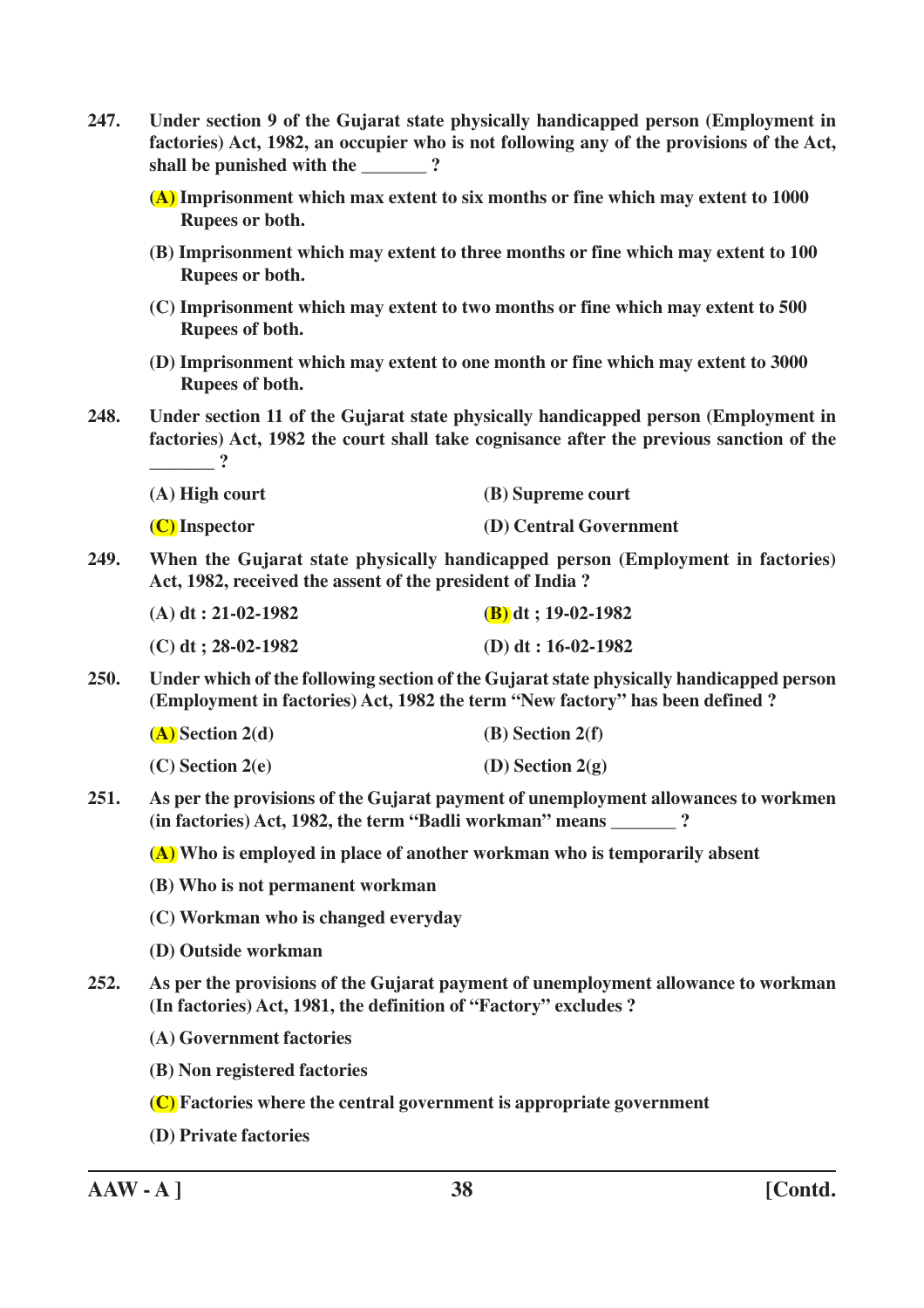| 247. | Under section 9 of the Gujarat state physically handicapped person (Employment in<br>factories) Act, 1982, an occupier who is not following any of the provisions of the Act,             |                        |
|------|-------------------------------------------------------------------------------------------------------------------------------------------------------------------------------------------|------------------------|
|      | (A) Imprisonment which max extent to six months or fine which may extent to 1000<br>Rupees or both.                                                                                       |                        |
|      | (B) Imprisonment which may extent to three months or fine which may extent to 100<br>Rupees or both.                                                                                      |                        |
|      | (C) Imprisonment which may extent to two months or fine which may extent to 500<br>Rupees of both.                                                                                        |                        |
|      | (D) Imprisonment which may extent to one month or fine which may extent to 3000<br>Rupees of both.                                                                                        |                        |
| 248. | Under section 11 of the Gujarat state physically handicapped person (Employment in<br>factories) Act, 1982 the court shall take cognisance after the previous sanction of the<br>$\sim$ 2 |                        |
|      | $(A)$ High court                                                                                                                                                                          | (B) Supreme court      |
|      | $(C)$ Inspector                                                                                                                                                                           | (D) Central Government |
| 249. | When the Gujarat state physically handicapped person (Employment in factories)<br>Act, 1982, received the assent of the president of India?                                               |                        |
|      | $(A) dt : 21-02-1982$                                                                                                                                                                     | $(B)$ dt; 19-02-1982   |
|      | $(C)$ dt; 28-02-1982                                                                                                                                                                      | (D) dt: $16-02-1982$   |
| 250. | Under which of the following section of the Gujarat state physically handicapped person<br>(Employment in factories) Act, 1982 the term "New factory" has been defined ?                  |                        |
|      | $(A)$ Section 2(d)                                                                                                                                                                        | $(B)$ Section 2(f)     |
|      | $(C)$ Section 2(e)                                                                                                                                                                        | (D) Section $2(g)$     |
| 251. | As per the provisions of the Gujarat payment of unemployment allowances to workmen<br>(in factories) Act, 1982, the term "Badli workman" means ?                                          |                        |
|      | (A) Who is employed in place of another workman who is temporarily absent                                                                                                                 |                        |
|      | (B) Who is not permanent workman                                                                                                                                                          |                        |
|      | (C) Workman who is changed everyday                                                                                                                                                       |                        |
|      | (D) Outside workman                                                                                                                                                                       |                        |
| 252. | As per the provisions of the Gujarat payment of unemployment allowance to workman<br>(In factories) Act, 1981, the definition of "Factory" excludes ?                                     |                        |
|      | (A) Government factories                                                                                                                                                                  |                        |
|      | (B) Non registered factories                                                                                                                                                              |                        |
|      | (C) Factories where the central government is appropriate government                                                                                                                      |                        |
|      | (D) Private factories                                                                                                                                                                     |                        |

**AAW - A ] 38 [Contd.**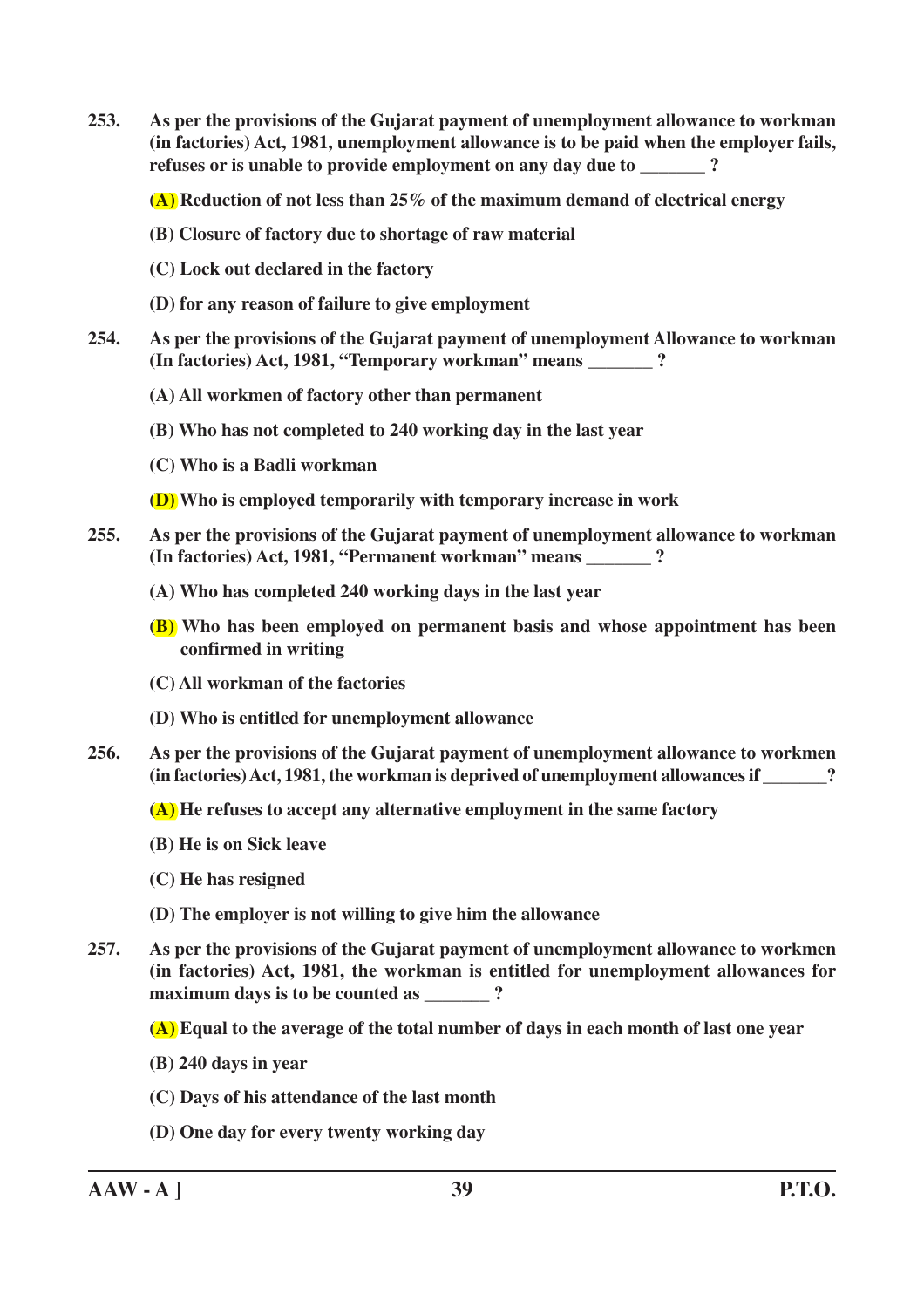**253. As per the provisions of the Gujarat payment of unemployment allowance to workman (in factories) Act, 1981, unemployment allowance is to be paid when the employer fails, refuses or is unable to provide employment on any day due to**  $\cdot$  ?

**(A) Reduction of not less than 25% of the maximum demand of electrical energy**

- **(B) Closure of factory due to shortage of raw material**
- **(C) Lock out declared in the factory**
- **(D) for any reason of failure to give employment**
- **254. As per the provisions of the Gujarat payment of unemployment Allowance to workman (In factories) Act, 1981, "Temporary workman" means \_\_\_\_\_\_\_ ?**
	- **(A) All workmen of factory other than permanent**
	- **(B) Who has not completed to 240 working day in the last year**
	- **(C) Who is a Badli workman**

**(D) Who is employed temporarily with temporary increase in work**

- **255. As per the provisions of the Gujarat payment of unemployment allowance to workman (In factories) Act, 1981, "Permanent workman" means \_\_\_\_\_\_\_ ?**
	- **(A) Who has completed 240 working days in the last year**
	- **(B) Who has been employed on permanent basis and whose appointment has been confirmed in writing**
	- **(C) All workman of the factories**
	- **(D) Who is entitled for unemployment allowance**
- **256. As per the provisions of the Gujarat payment of unemployment allowance to workmen (in factories) Act, 1981, the workman is deprived of unemployment allowances if \_\_\_\_\_\_\_?**

**(A) He refuses to accept any alternative employment in the same factory**

- **(B) He is on Sick leave**
- **(C) He has resigned**
- **(D) The employer is not willing to give him the allowance**
- **257. As per the provisions of the Gujarat payment of unemployment allowance to workmen (in factories) Act, 1981, the workman is entitled for unemployment allowances for maximum days is to be counted as**  $\cdot$  **?**

**(A) Equal to the average of the total number of days in each month of last one year**

- **(B) 240 days in year**
- **(C) Days of his attendance of the last month**
- **(D) One day for every twenty working day**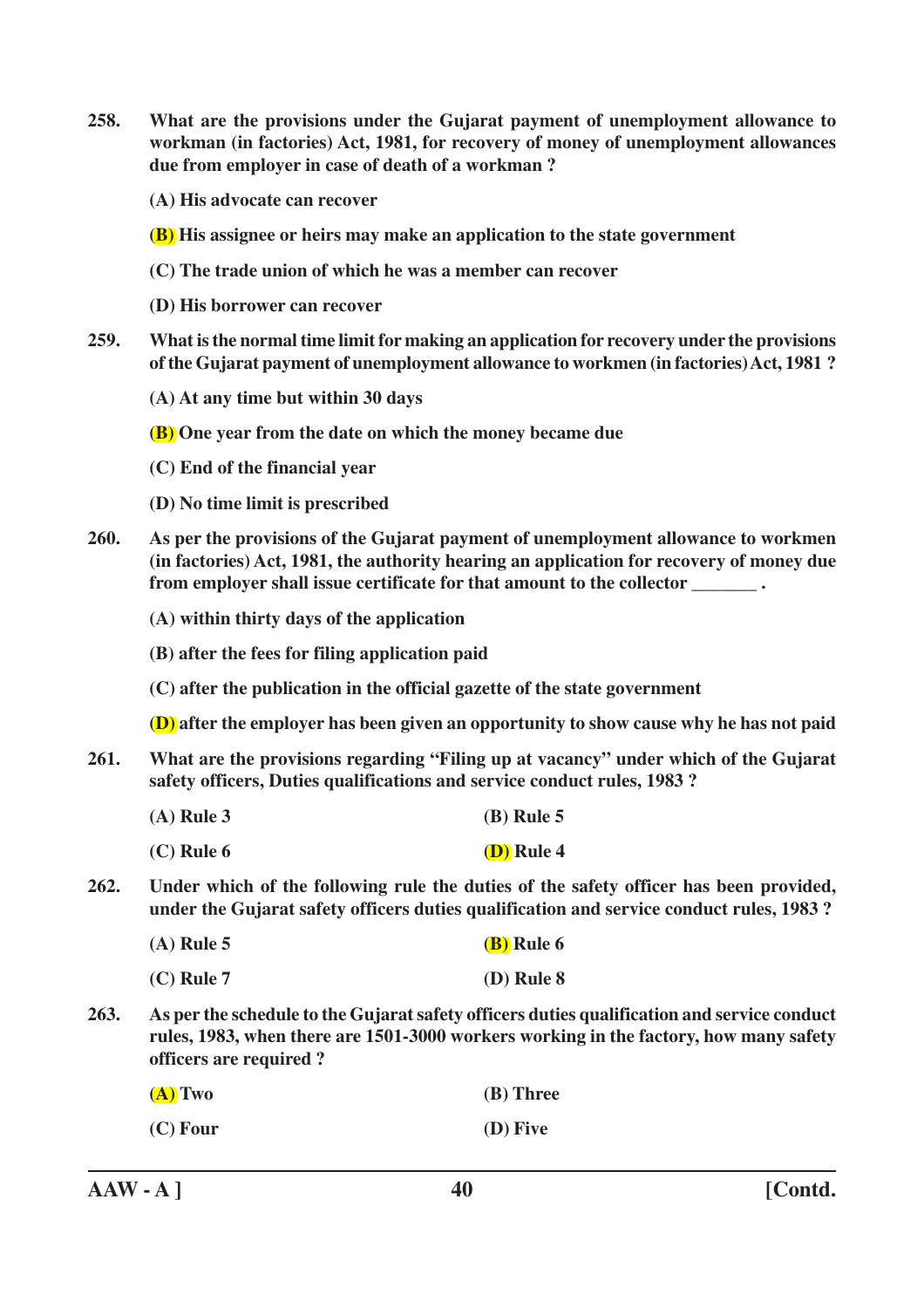**258. What are the provisions under the Gujarat payment of unemployment allowance to workman (in factories) Act, 1981, for recovery of money of unemployment allowances due from employer in case of death of a workman ?**

**(A) His advocate can recover**

**(B) His assignee or heirs may make an application to the state government**

**(C) The trade union of which he was a member can recover**

**(D) His borrower can recover**

**259. What is the normal time limit for making an application for recovery under the provisions of the Gujarat payment of unemployment allowance to workmen (in factories) Act, 1981 ?**

**(A) At any time but within 30 days**

**(B) One year from the date on which the money became due**

**(C) End of the financial year**

**(D) No time limit is prescribed**

**260. As per the provisions of the Gujarat payment of unemployment allowance to workmen (in factories) Act, 1981, the authority hearing an application for recovery of money due from employer shall issue certificate for that amount to the collector \_\_\_\_\_\_\_ .**

**(A) within thirty days of the application**

**(B) after the fees for filing application paid**

**(C) after the publication in the official gazette of the state government**

**(D) after the employer has been given an opportunity to show cause why he has not paid**

- **261. What are the provisions regarding "Filing up at vacancy" under which of the Gujarat safety officers, Duties qualifications and service conduct rules, 1983 ?**
	- **(A) Rule 3 (B) Rule 5**
	- **(C) Rule 6 (D) Rule 4**
- **262. Under which of the following rule the duties of the safety officer has been provided, under the Gujarat safety officers duties qualification and service conduct rules, 1983 ?**

| $(A)$ Rule 5 | <b>(B)</b> Rule 6 |
|--------------|-------------------|
|              |                   |

**<sup>(</sup>C) Rule 7 (D) Rule 8**

**263. As per the schedule to the Gujarat safety officers duties qualification and service conduct rules, 1983, when there are 1501-3000 workers working in the factory, how many safety officers are required ?**

| $(A)$ Two | (B) Three |
|-----------|-----------|
|-----------|-----------|

```
(C) Four (D) Five
```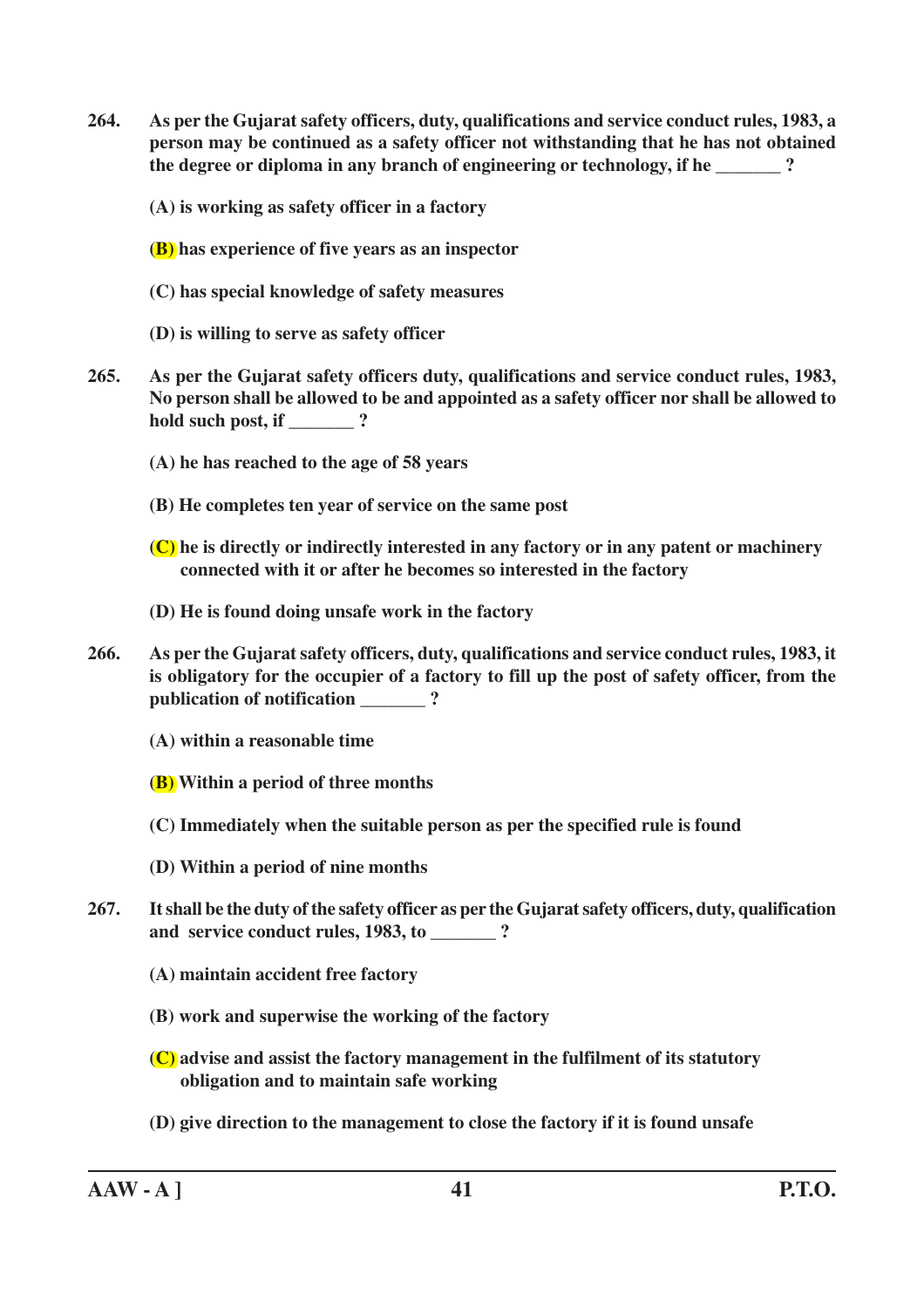**264. As per the Gujarat safety officers, duty, qualifications and service conduct rules, 1983, a person may be continued as a safety officer not withstanding that he has not obtained** the degree or diploma in any branch of engineering or technology, if he  $\sim$ ?

**(A) is working as safety officer in a factory**

**(B) has experience of five years as an inspector**

- **(C) has special knowledge of safety measures**
- **(D) is willing to serve as safety officer**
- **265. As per the Gujarat safety officers duty, qualifications and service conduct rules, 1983, No person shall be allowed to be and appointed as a safety officer nor shall be allowed to hold such post, if \_\_\_\_\_\_\_ ?**
	- **(A) he has reached to the age of 58 years**
	- **(B) He completes ten year of service on the same post**
	- **(C) he is directly or indirectly interested in any factory or in any patent or machinery connected with it or after he becomes so interested in the factory**
	- **(D) He is found doing unsafe work in the factory**
- **266. As per the Gujarat safety officers, duty, qualifications and service conduct rules, 1983, it is obligatory for the occupier of a factory to fill up the post of safety officer, from the publication of notification \_\_\_\_\_\_\_ ?**

**(A) within a reasonable time**

- **(B) Within a period of three months**
- **(C) Immediately when the suitable person as per the specified rule is found**
- **(D) Within a period of nine months**
- **267. It shall be the duty of the safety officer as per the Gujarat safety officers, duty, qualification** and service conduct rules, 1983, to *and service conduct rules*, 1983, to *and service* 
	- **(A) maintain accident free factory**
	- **(B) work and superwise the working of the factory**
	- **(C) advise and assist the factory management in the fulfilment of its statutory obligation and to maintain safe working**
	- **(D) give direction to the management to close the factory if it is found unsafe**

**AAW - A ] 41 P.T.O.**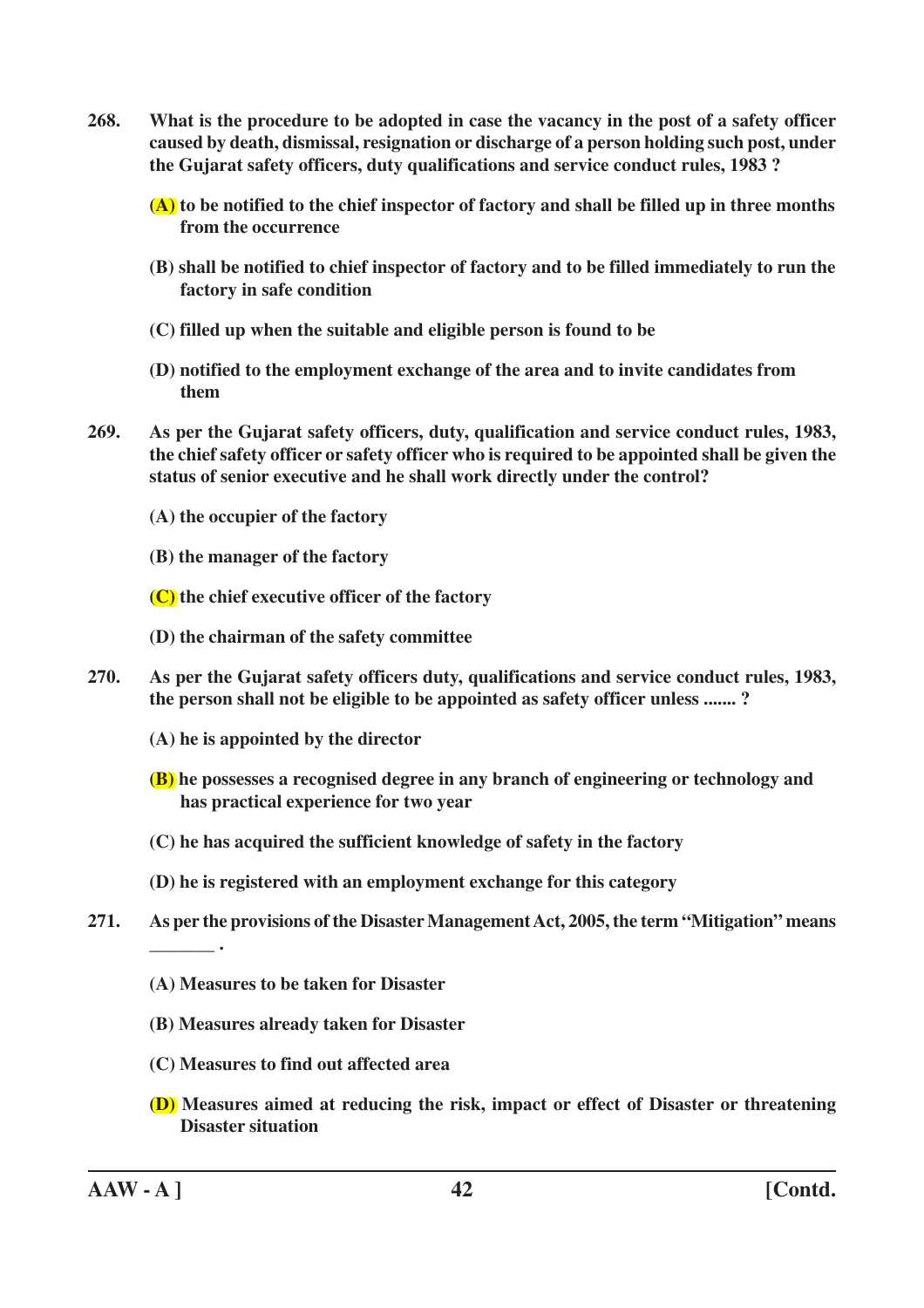**268. What is the procedure to be adopted in case the vacancy in the post of a safety officer caused by death, dismissal, resignation or discharge of a person holding such post, under the Gujarat safety officers, duty qualifications and service conduct rules, 1983 ?**

**(A) to be notified to the chief inspector of factory and shall be filled up in three months from the occurrence**

- **(B) shall be notified to chief inspector of factory and to be filled immediately to run the factory in safe condition**
- **(C) filled up when the suitable and eligible person is found to be**
- **(D) notified to the employment exchange of the area and to invite candidates from them**
- **269. As per the Gujarat safety officers, duty, qualification and service conduct rules, 1983, the chief safety officer or safety officer who is required to be appointed shall be given the status of senior executive and he shall work directly under the control?**
	- **(A) the occupier of the factory**
	- **(B) the manager of the factory**
	- **(C) the chief executive officer of the factory**
	- **(D) the chairman of the safety committee**
- **270. As per the Gujarat safety officers duty, qualifications and service conduct rules, 1983, the person shall not be eligible to be appointed as safety officer unless ....... ?**
	- **(A) he is appointed by the director**
	- **(B) he possesses a recognised degree in any branch of engineering or technology and has practical experience for two year**
	- **(C) he has acquired the sufficient knowledge of safety in the factory**
	- **(D) he is registered with an employment exchange for this category**
- **271. As per the provisions of the Disaster Management Act, 2005, the term "Mitigation" means**
	- **(A) Measures to be taken for Disaster**
	- **(B) Measures already taken for Disaster**
	- **(C) Measures to find out affected area**
	- **(D) Measures aimed at reducing the risk, impact or effect of Disaster or threatening Disaster situation**

**AAW - A ] 42 [Contd.**

**\_\_\_\_\_\_\_ .**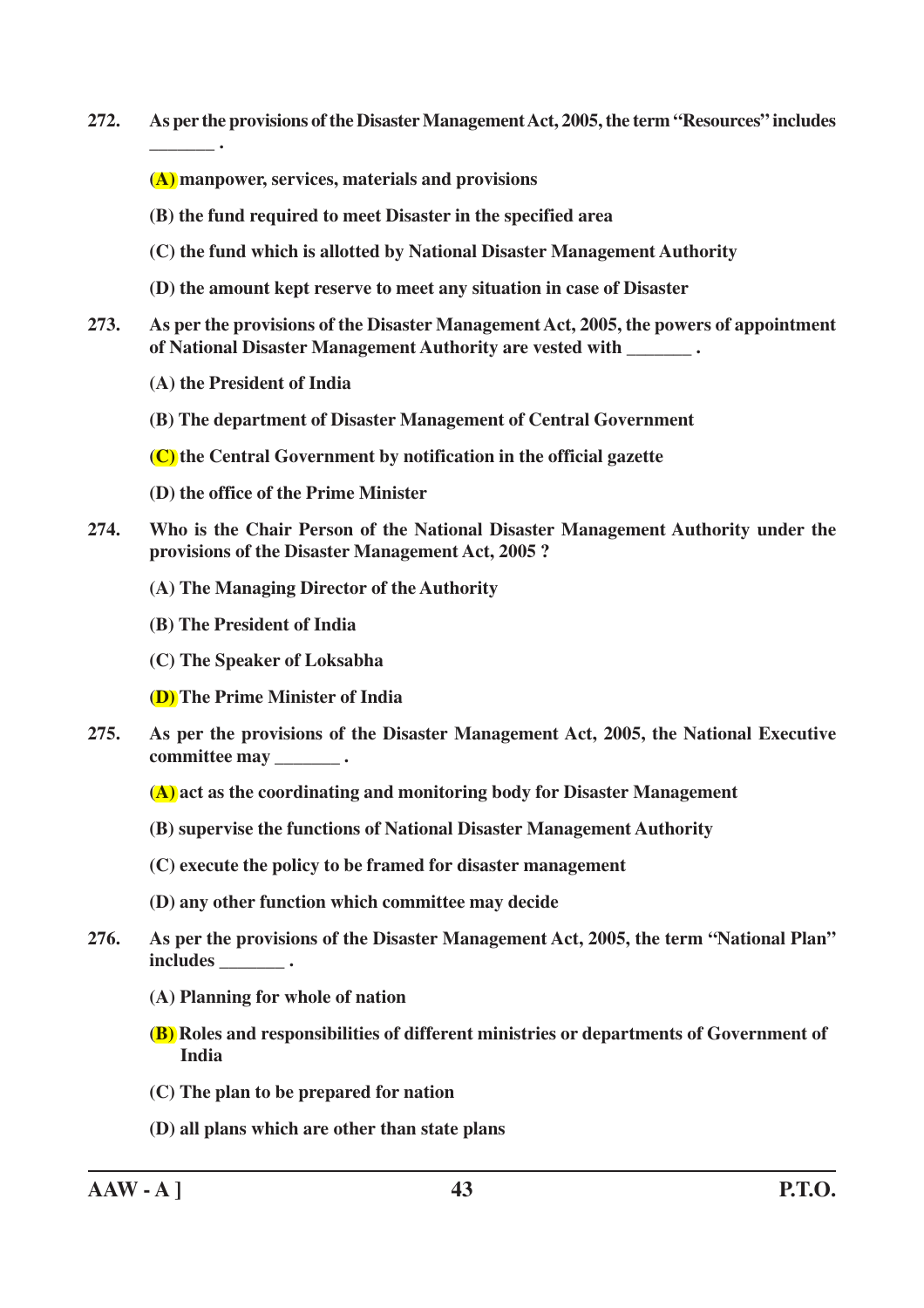**272. As per the provisions of the Disaster Management Act, 2005, the term "Resources" includes**

**(A) manpower, services, materials and provisions**

- **(B) the fund required to meet Disaster in the specified area**
- **(C) the fund which is allotted by National Disaster Management Authority**
- **(D) the amount kept reserve to meet any situation in case of Disaster**
- **273. As per the provisions of the Disaster Management Act, 2005, the powers of appointment of National Disaster Management Authority are vested with \_\_\_\_\_\_\_ .**
	- **(A) the President of India**

**\_\_\_\_\_\_\_ .**

**(B) The department of Disaster Management of Central Government**

**(C) the Central Government by notification in the official gazette**

- **(D) the office of the Prime Minister**
- **274. Who is the Chair Person of the National Disaster Management Authority under the provisions of the Disaster Management Act, 2005 ?**
	- **(A) The Managing Director of the Authority**
	- **(B) The President of India**
	- **(C) The Speaker of Loksabha**

**(D) The Prime Minister of India**

- **275. As per the provisions of the Disaster Management Act, 2005, the National Executive committee may \_\_\_\_\_\_\_ .**
	- **(A) act as the coordinating and monitoring body for Disaster Management**
	- **(B) supervise the functions of National Disaster Management Authority**
	- **(C) execute the policy to be framed for disaster management**
	- **(D) any other function which committee may decide**
- **276. As per the provisions of the Disaster Management Act, 2005, the term "National Plan" includes \_\_\_\_\_\_\_ .**
	- **(A) Planning for whole of nation**
	- **(B) Roles and responsibilities of different ministries or departments of Government of India**
	- **(C) The plan to be prepared for nation**
	- **(D) all plans which are other than state plans**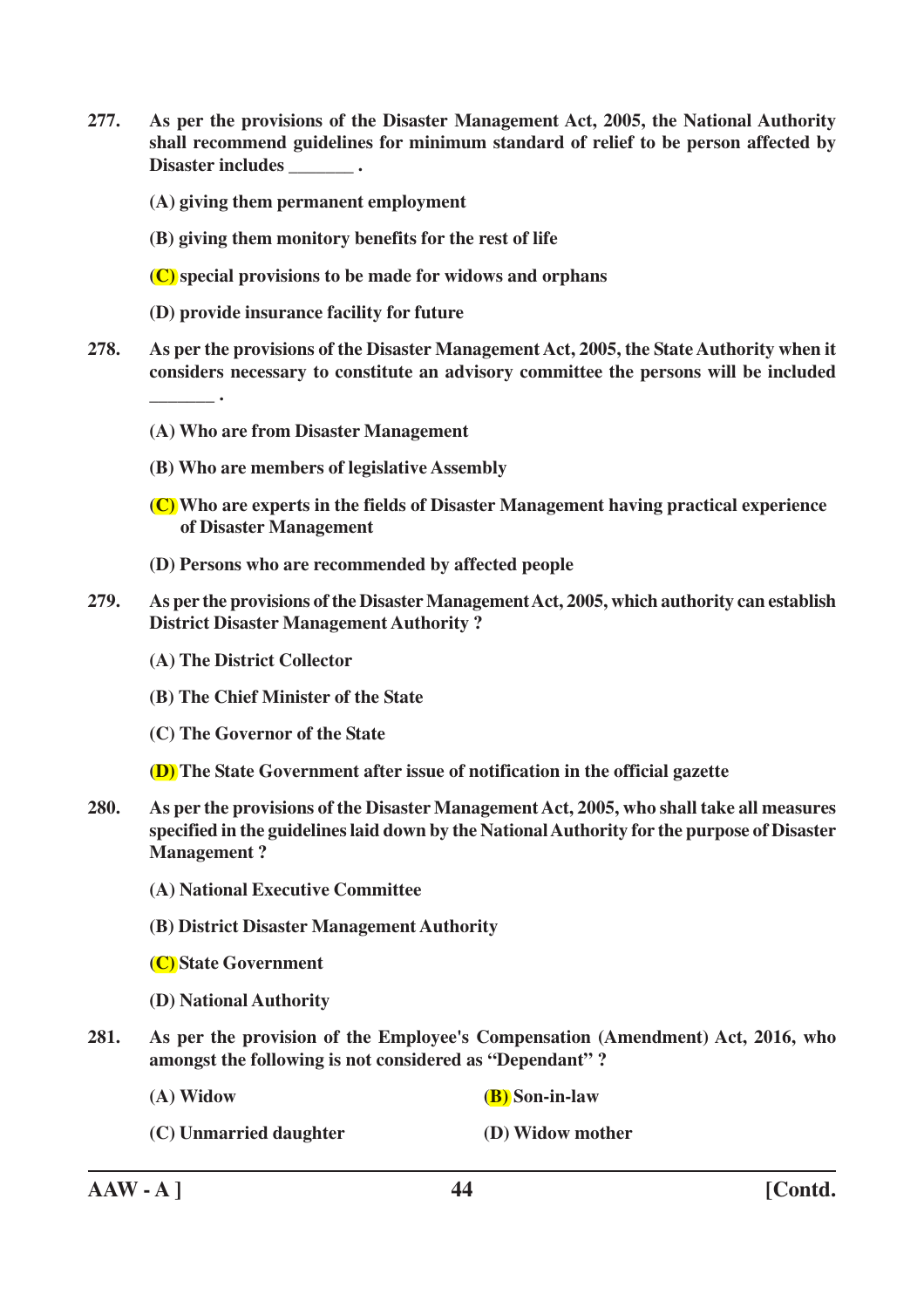**277. As per the provisions of the Disaster Management Act, 2005, the National Authority shall recommend guidelines for minimum standard of relief to be person affected by Disaster includes \_\_\_\_\_\_\_ .**

**(A) giving them permanent employment**

**(B) giving them monitory benefits for the rest of life**

**(C) special provisions to be made for widows and orphans**

- **(D) provide insurance facility for future**
- **278. As per the provisions of the Disaster Management Act, 2005, the State Authority when it considers necessary to constitute an advisory committee the persons will be included**
	- **(A) Who are from Disaster Management**
	- **(B) Who are members of legislative Assembly**
	- **(C) Who are experts in the fields of Disaster Management having practical experience of Disaster Management**
	- **(D) Persons who are recommended by affected people**
- **279. As per the provisions of the Disaster Management Act, 2005, which authority can establish District Disaster Management Authority ?**
	- **(A) The District Collector**

**\_\_\_\_\_\_\_ .**

- **(B) The Chief Minister of the State**
- **(C) The Governor of the State**
- **(D) The State Government after issue of notification in the official gazette**
- **280. As per the provisions of the Disaster Management Act, 2005, who shall take all measures specified in the guidelines laid down by the National Authority for the purpose of Disaster Management ?**
	- **(A) National Executive Committee**
	- **(B) District Disaster Management Authority**
	- **(C) State Government**
	- **(D) National Authority**
- **281. As per the provision of the Employee's Compensation (Amendment) Act, 2016, who amongst the following is not considered as "Dependant" ?**
	- **(A) Widow (B) Son-in-law**

**(C) Unmarried daughter (D) Widow mother**

**AAW - A ] 44 [Contd.**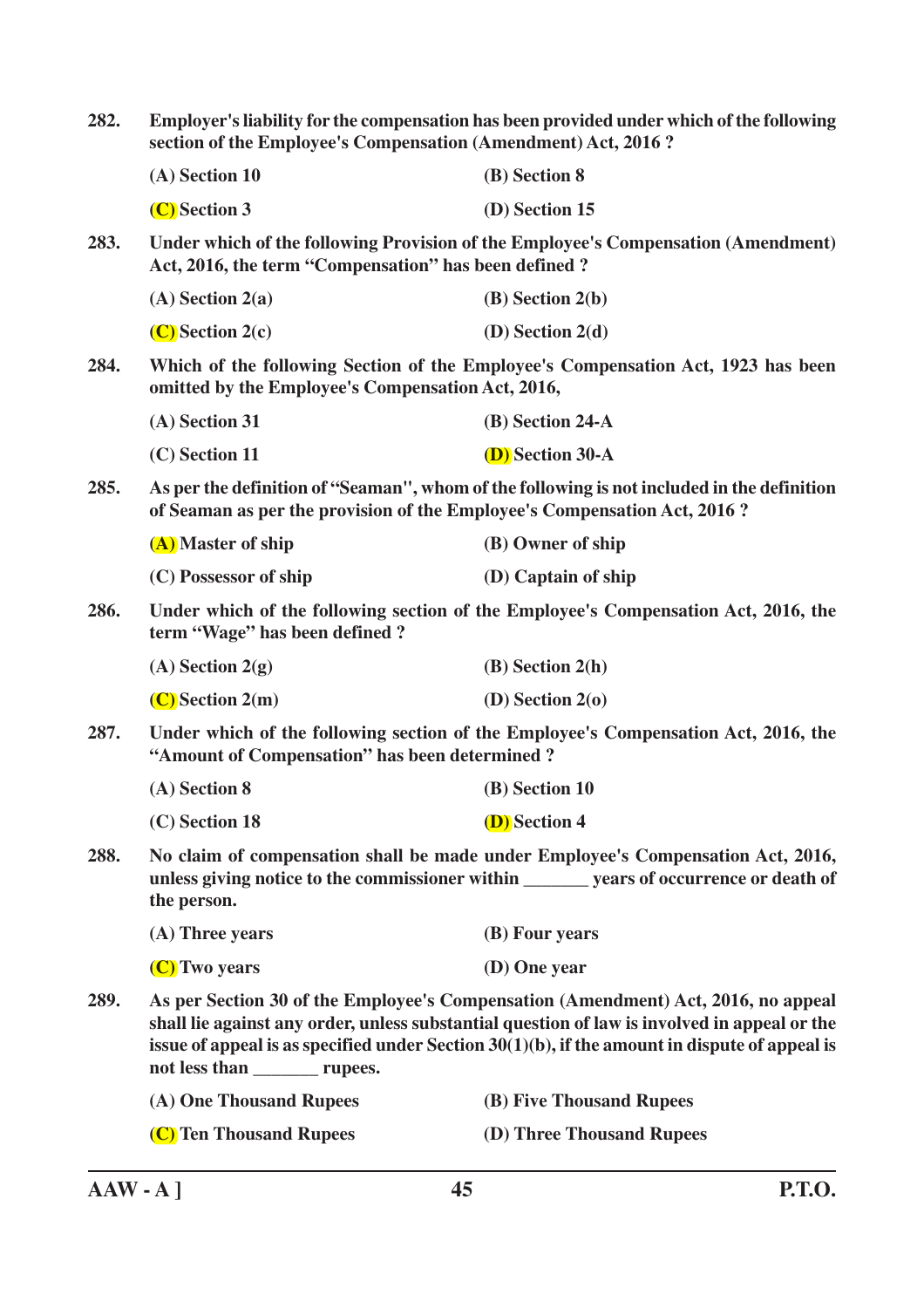| 282. | Employer's liability for the compensation has been provided under which of the following<br>section of the Employee's Compensation (Amendment) Act, 2016?                                                                                                                                                                  |                                                                                                                                                                             |  |
|------|----------------------------------------------------------------------------------------------------------------------------------------------------------------------------------------------------------------------------------------------------------------------------------------------------------------------------|-----------------------------------------------------------------------------------------------------------------------------------------------------------------------------|--|
|      | (A) Section 10                                                                                                                                                                                                                                                                                                             | (B) Section 8                                                                                                                                                               |  |
|      | (C) Section 3                                                                                                                                                                                                                                                                                                              | (D) Section 15                                                                                                                                                              |  |
| 283. | Under which of the following Provision of the Employee's Compensation (Amendment)<br>Act, 2016, the term "Compensation" has been defined?                                                                                                                                                                                  |                                                                                                                                                                             |  |
|      | $(A)$ Section 2(a)                                                                                                                                                                                                                                                                                                         | $(B)$ Section 2(b)                                                                                                                                                          |  |
|      | $(C)$ Section 2(c)                                                                                                                                                                                                                                                                                                         | (D) Section $2(d)$                                                                                                                                                          |  |
| 284. | Which of the following Section of the Employee's Compensation Act, 1923 has been<br>omitted by the Employee's Compensation Act, 2016,                                                                                                                                                                                      |                                                                                                                                                                             |  |
|      | (A) Section 31                                                                                                                                                                                                                                                                                                             | (B) Section 24-A                                                                                                                                                            |  |
|      | (C) Section 11                                                                                                                                                                                                                                                                                                             | <b>(D)</b> Section 30-A                                                                                                                                                     |  |
| 285. | As per the definition of "Seaman", whom of the following is not included in the definition<br>of Seaman as per the provision of the Employee's Compensation Act, 2016?                                                                                                                                                     |                                                                                                                                                                             |  |
|      | (A) Master of ship                                                                                                                                                                                                                                                                                                         | (B) Owner of ship                                                                                                                                                           |  |
|      | (C) Possessor of ship                                                                                                                                                                                                                                                                                                      | (D) Captain of ship                                                                                                                                                         |  |
| 286. | Under which of the following section of the Employee's Compensation Act, 2016, the<br>term "Wage" has been defined?                                                                                                                                                                                                        |                                                                                                                                                                             |  |
|      | $(A)$ Section 2(g)                                                                                                                                                                                                                                                                                                         | $(B)$ Section 2(h)                                                                                                                                                          |  |
|      | $(C)$ Section 2(m)                                                                                                                                                                                                                                                                                                         | (D) Section $2(\sigma)$                                                                                                                                                     |  |
| 287. | Under which of the following section of the Employee's Compensation Act, 2016, the<br>"Amount of Compensation" has been determined?                                                                                                                                                                                        |                                                                                                                                                                             |  |
|      | (A) Section 8                                                                                                                                                                                                                                                                                                              | (B) Section 10                                                                                                                                                              |  |
|      | (C) Section 18                                                                                                                                                                                                                                                                                                             | (D) Section 4                                                                                                                                                               |  |
| 288. | the person.                                                                                                                                                                                                                                                                                                                | No claim of compensation shall be made under Employee's Compensation Act, 2016,<br>unless giving notice to the commissioner within ________ years of occurrence or death of |  |
|      | $(A)$ Three years                                                                                                                                                                                                                                                                                                          | (B) Four years                                                                                                                                                              |  |
|      | (C) Two years                                                                                                                                                                                                                                                                                                              | (D) One year                                                                                                                                                                |  |
| 289. | As per Section 30 of the Employee's Compensation (Amendment) Act, 2016, no appeal<br>shall lie against any order, unless substantial question of law is involved in appeal or the<br>issue of appeal is as specified under Section $30(1)(b)$ , if the amount in dispute of appeal is<br>not less than ___________ rupees. |                                                                                                                                                                             |  |
|      | (A) One Thousand Rupees                                                                                                                                                                                                                                                                                                    | (B) Five Thousand Rupees                                                                                                                                                    |  |
|      | (C) Ten Thousand Rupees                                                                                                                                                                                                                                                                                                    | (D) Three Thousand Rupees                                                                                                                                                   |  |
|      |                                                                                                                                                                                                                                                                                                                            |                                                                                                                                                                             |  |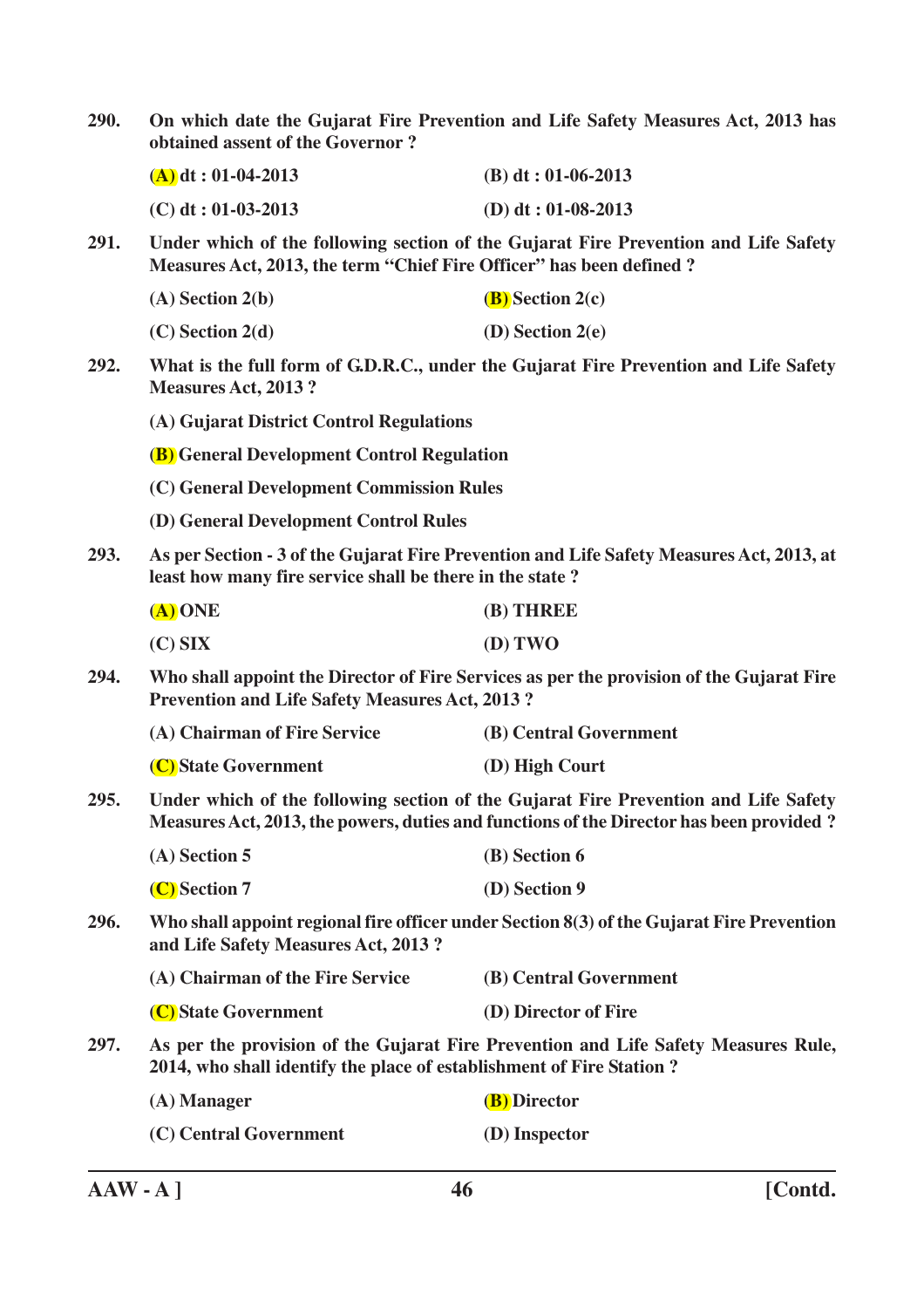| 290. | On which date the Gujarat Fire Prevention and Life Safety Measures Act, 2013 has<br>obtained assent of the Governor?                                                           |                                                                                      |  |
|------|--------------------------------------------------------------------------------------------------------------------------------------------------------------------------------|--------------------------------------------------------------------------------------|--|
|      | $(A)$ dt: 01-04-2013                                                                                                                                                           | $(B) dt : 01-06-2013$                                                                |  |
|      | $(C)$ dt: 01-03-2013                                                                                                                                                           | (D) dt: $01-08-2013$                                                                 |  |
| 291. | Under which of the following section of the Gujarat Fire Prevention and Life Safety<br>Measures Act, 2013, the term "Chief Fire Officer" has been defined?                     |                                                                                      |  |
|      | $(A)$ Section 2(b)                                                                                                                                                             | $(B)$ Section 2(c)                                                                   |  |
|      | $(C)$ Section 2(d)                                                                                                                                                             | $(D)$ Section 2(e)                                                                   |  |
| 292. | <b>Measures Act, 2013?</b>                                                                                                                                                     | What is the full form of G.D.R.C., under the Gujarat Fire Prevention and Life Safety |  |
|      | (A) Gujarat District Control Regulations                                                                                                                                       |                                                                                      |  |
|      | <b>(B)</b> General Development Control Regulation                                                                                                                              |                                                                                      |  |
|      | (C) General Development Commission Rules                                                                                                                                       |                                                                                      |  |
|      | (D) General Development Control Rules                                                                                                                                          |                                                                                      |  |
| 293. | As per Section - 3 of the Gujarat Fire Prevention and Life Safety Measures Act, 2013, at<br>least how many fire service shall be there in the state?                           |                                                                                      |  |
|      | $(A)$ ONE                                                                                                                                                                      | (B) THREE                                                                            |  |
|      | $(C)$ SIX                                                                                                                                                                      | (D) TWO                                                                              |  |
| 294. | Who shall appoint the Director of Fire Services as per the provision of the Gujarat Fire<br><b>Prevention and Life Safety Measures Act, 2013?</b>                              |                                                                                      |  |
|      | (A) Chairman of Fire Service                                                                                                                                                   | (B) Central Government                                                               |  |
|      | (C) State Government                                                                                                                                                           | (D) High Court                                                                       |  |
| 295. | Under which of the following section of the Gujarat Fire Prevention and Life Safety<br>Measures Act, 2013, the powers, duties and functions of the Director has been provided? |                                                                                      |  |
|      | $(A)$ Section 5                                                                                                                                                                | (B) Section 6                                                                        |  |
|      | (C) Section 7                                                                                                                                                                  | (D) Section 9                                                                        |  |
| 296. | Who shall appoint regional fire officer under Section 8(3) of the Gujarat Fire Prevention<br>and Life Safety Measures Act, 2013?                                               |                                                                                      |  |
|      | (A) Chairman of the Fire Service                                                                                                                                               | (B) Central Government                                                               |  |
|      | (C) State Government                                                                                                                                                           | (D) Director of Fire                                                                 |  |
| 297. | As per the provision of the Gujarat Fire Prevention and Life Safety Measures Rule,<br>2014, who shall identify the place of establishment of Fire Station?                     |                                                                                      |  |
|      | $(A)$ Manager                                                                                                                                                                  | ( <b>B</b> ) Director                                                                |  |
|      | (C) Central Government                                                                                                                                                         | (D) Inspector                                                                        |  |
|      |                                                                                                                                                                                |                                                                                      |  |